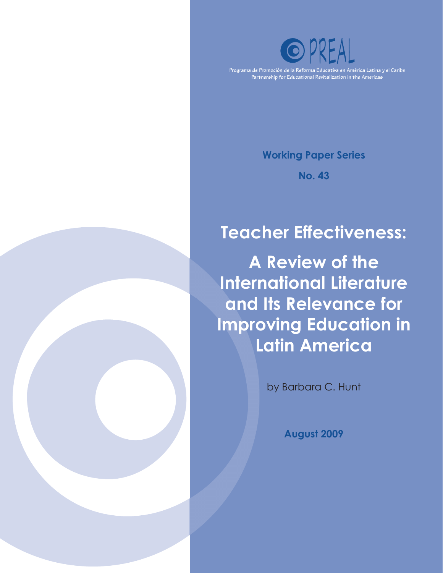

**Programa de Promoción de la Reforma Educativa en América Latina y el Caribe Partnership for Educational Revitalization in the Americas**

**Working Paper Series**

**No. 43**

# **Teacher Effectiveness:**

**A Review of the International Literature and Its Relevance for Improving Education in Latin America**

by Barbara C. Hunt

**August 2009**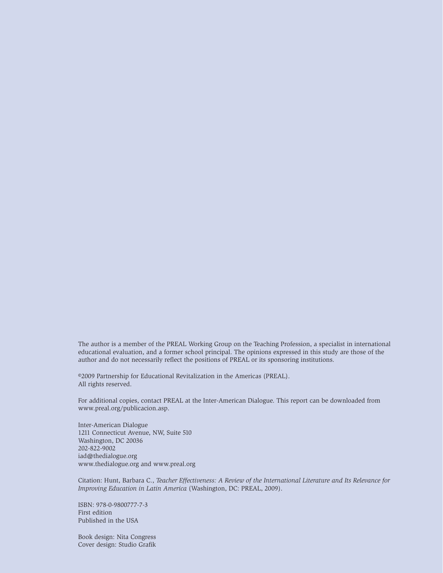The author is a member of the PREAL Working Group on the Teaching Profession, a specialist in international educational evaluation, and a former school principal. The opinions expressed in this study are those of the author and do not necessarily reflect the positions of PREAL or its sponsoring institutions.

©2009 Partnership for Educational Revitalization in the Americas (PREAL). All rights reserved.

For additional copies, contact PREAL at the Inter-American Dialogue. This report can be downloaded from www.preal.org/publicacion.asp.

Inter-American Dialogue 1211 Connecticut Avenue, NW, Suite 510 Washington, DC 20036 202-822-9002 iad@thedialogue.org www.thedialogue.org and www.preal.org

Citation: Hunt, Barbara C., *Teacher Effectiveness: A Review of the International Literature and Its Relevance for Improving Education in Latin America* (Washington, DC: PREAL, 2009).

ISBN: 978-0-9800777-7-3 First edition Published in the USA

Book design: Nita Congress Cover design: Studio Grafik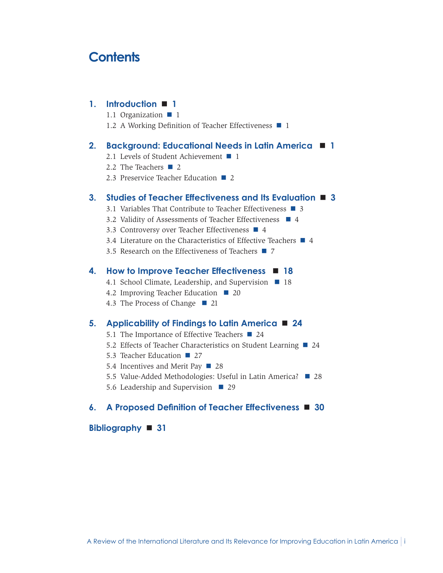## **Contents**

#### **1. [Introduction](#page-4-0) 1**

- 1.1 [Organization](#page-4-0)  $\blacksquare$  1
- 1.2 [A Working Definition of Teacher Effectiveness](#page-4-0)  $\blacksquare$  1

#### **2. [Background: Educational Needs in Latin America](#page-4-0)  1**

- 2.1 [Levels of Student Achievement](#page-4-0)  $\blacksquare$  1
- 2.2 [The Teachers](#page-5-0)  $\blacksquare$  2
- 2.3 [Preservice Teacher Education](#page-5-0)  $\Box$  2

#### **3. [Studies of Teacher Effectiveness and Its Evaluation](#page-6-0) 3**

- 3.1 [Variables That Contribute to Teacher Effectiveness](#page-6-0) **3**
- 3.2 [Validity of Assessments of Teacher Effectiveness](#page-7-0)  $\blacksquare$  4
- 3.3 [Controversy over Teacher Effectiveness](#page-7-0) 4
- 3.4 [Literature on the Characteristics of Effective Teachers](#page-7-0)  $\blacksquare$  4
- 3.5 [Research on the Effectiveness of Teachers](#page-10-0)  $\blacksquare$  7

#### **4. [How to Improve Teacher Effectiveness](#page-21-0)  18**

- 4.1 [School Climate, Leadership, and Supervision](#page-21-0) **18**
- 4.2 [Improving Teacher Education](#page-23-0)  20
- 4.3 [The Process of Change](#page-24-0)  21

#### **5. [Applicability of Findings to Latin America](#page-27-0) 24**

- 5.1 [The Importance of Effective Teachers](#page-27-0)  $\blacksquare$  24
- 5.2 [Effects of Teacher Characteristics on Student Learning](#page-27-0) 24
- 5.3 [Teacher Education](#page-30-0) 27
- 5.4 [Incentives and Merit Pay](#page-31-0) 28
- 5.5 [Value-Added Methodologies: Useful in Latin America?](#page-31-0)  28
- 5.6 [Leadership and Supervision](#page-32-0)  $\blacksquare$  29

#### **6. A Proposed Definition of Teacher [Effectiveness](#page-33-0) 30**

#### **[Bibliography](#page-34-0) 31**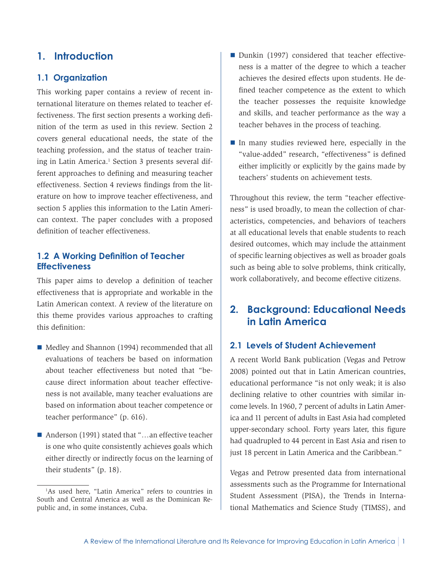### <span id="page-4-0"></span>**1. Introduction**

#### **1.1 Organization**

This working paper contains a review of recent international literature on themes related to teacher effectiveness. The first section presents a working definition of the term as used in this review. Section 2 covers general educational needs, the state of the teaching profession, and the status of teacher training in Latin America.<sup>1</sup> Section 3 presents several different approaches to defining and measuring teacher effectiveness. Section 4 reviews findings from the literature on how to improve teacher effectiveness, and section 5 applies this information to the Latin American context. The paper concludes with a proposed definition of teacher effectiveness.

#### **1.2 A Working Definition of Teacher Effectiveness**

This paper aims to develop a definition of teacher effectiveness that is appropriate and workable in the Latin American context. A review of the literature on this theme provides various approaches to crafting this definition:

- Medley and Shannon (1994) recommended that all evaluations of teachers be based on information about teacher effectiveness but noted that "because direct information about teacher effectiveness is not available, many teacher evaluations are based on information about teacher competence or teacher performance" (p. 616).
- Anderson (1991) stated that "…an effective teacher is one who quite consistently achieves goals which either directly or indirectly focus on the learning of their students" (p. 18).
- Dunkin (1997) considered that teacher effectiveness is a matter of the degree to which a teacher achieves the desired effects upon students. He defined teacher competence as the extent to which the teacher possesses the requisite knowledge and skills, and teacher performance as the way a teacher behaves in the process of teaching.
- $\blacksquare$  In many studies reviewed here, especially in the "value-added" research, "effectiveness" is defined either implicitly or explicitly by the gains made by teachers' students on achievement tests.

Throughout this review, the term "teacher effectiveness" is used broadly, to mean the collection of characteristics, competencies, and behaviors of teachers at all educational levels that enable students to reach desired outcomes, which may include the attainment of specific learning objectives as well as broader goals such as being able to solve problems, think critically, work collaboratively, and become effective citizens.

### **2. Background: Educational Needs in Latin America**

#### **2.1 Levels of Student Achievement**

A recent World Bank publication (Vegas and Petrow 2008) pointed out that in Latin American countries, educational performance "is not only weak; it is also declining relative to other countries with similar income levels. In 1960, 7 percent of adults in Latin America and 11 percent of adults in East Asia had completed upper-secondary school. Forty years later, this figure had quadrupled to 44 percent in East Asia and risen to just 18 percent in Latin America and the Caribbean."

Vegas and Petrow presented data from international assessments such as the Programme for International Student Assessment (PISA), the Trends in International Mathematics and Science Study (TIMSS), and

<sup>1</sup> As used here, "Latin America" refers to countries in South and Central America as well as the Dominican Republic and, in some instances, Cuba.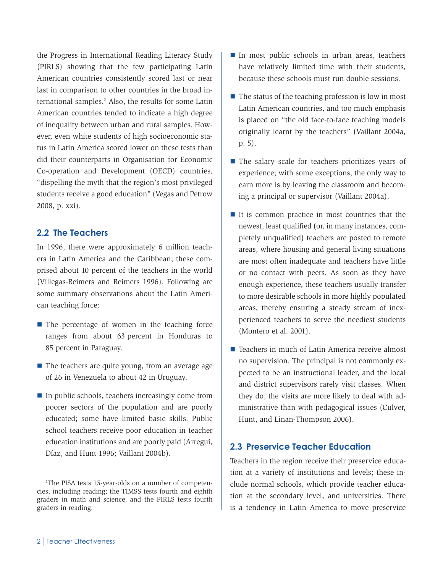<span id="page-5-0"></span>the Progress in International Reading Literacy Study (PIRLS) showing that the few participating Latin American countries consistently scored last or near last in comparison to other countries in the broad international samples.<sup>2</sup> Also, the results for some Latin American countries tended to indicate a high degree of inequality between urban and rural samples. However, even white students of high socioeconomic status in Latin America scored lower on these tests than did their counterparts in Organisation for Economic Co-operation and Development (OECD) countries, "dispelling the myth that the region's most privileged students receive a good education" (Vegas and Petrow 2008, p. xxi).

#### **2.2 The Teachers**

In 1996, there were approximately 6 million teachers in Latin America and the Caribbean; these comprised about 10 percent of the teachers in the world (Villegas-Reimers and Reimers 1996). Following are some summary observations about the Latin American teaching force:

- $\blacksquare$  The percentage of women in the teaching force ranges from about 63 percent in Honduras to 85 percent in Paraguay.
- The teachers are quite young, from an average age of 26 in Venezuela to about 42 in Uruguay.
- $\blacksquare$  In public schools, teachers increasingly come from poorer sectors of the population and are poorly educated; some have limited basic skills. Public school teachers receive poor education in teacher education institutions and are poorly paid (Arregui, Díaz, and Hunt 1996; Vaillant 2004b).
- In most public schools in urban areas, teachers have relatively limited time with their students, because these schools must run double sessions.
- $\blacksquare$  The status of the teaching profession is low in most Latin American countries, and too much emphasis is placed on "the old face-to-face teaching models originally learnt by the teachers" (Vaillant 2004a, p. 5).
- The salary scale for teachers prioritizes years of experience; with some exceptions, the only way to earn more is by leaving the classroom and becoming a principal or supervisor (Vaillant 2004a).
- It is common practice in most countries that the newest, least qualified (or, in many instances, completely unqualified) teachers are posted to remote areas, where housing and general living situations are most often inadequate and teachers have little or no contact with peers. As soon as they have enough experience, these teachers usually transfer to more desirable schools in more highly populated areas, thereby ensuring a steady stream of inexperienced teachers to serve the neediest students (Montero et al. 2001).
- Teachers in much of Latin America receive almost no supervision. The principal is not commonly expected to be an instructional leader, and the local and district supervisors rarely visit classes. When they do, the visits are more likely to deal with administrative than with pedagogical issues (Culver, Hunt, and Linan-Thompson 2006).

### **2.3 Preservice Teacher Education**

Teachers in the region receive their preservice education at a variety of institutions and levels; these include normal schools, which provide teacher education at the secondary level, and universities. There is a tendency in Latin America to move preservice

<sup>2</sup> The PISA tests 15-year-olds on a number of competencies, including reading; the TIMSS tests fourth and eighth graders in math and science, and the PIRLS tests fourth graders in reading.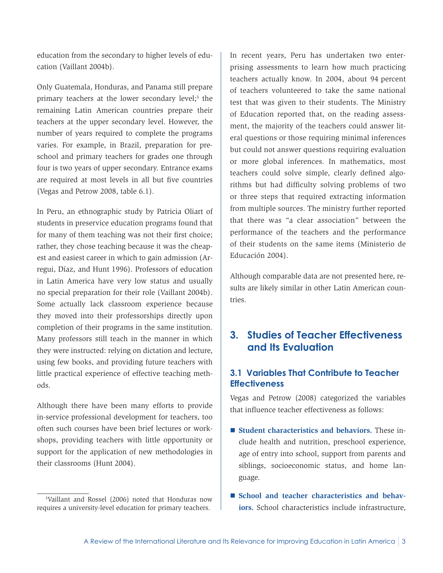<span id="page-6-0"></span>education from the secondary to higher levels of education (Vaillant 2004b).

Only Guatemala, Honduras, and Panama still prepare primary teachers at the lower secondary level;<sup>3</sup> the remaining Latin American countries prepare their teachers at the upper secondary level. However, the number of years required to complete the programs varies. For example, in Brazil, preparation for preschool and primary teachers for grades one through four is two years of upper secondary. Entrance exams are required at most levels in all but five countries (Vegas and Petrow 2008, table 6.1).

In Peru, an ethnographic study by Patricia Oliart of students in preservice education programs found that for many of them teaching was not their first choice; rather, they chose teaching because it was the cheapest and easiest career in which to gain admission (Arregui, Díaz, and Hunt 1996). Professors of education in Latin America have very low status and usually no special preparation for their role (Vaillant 2004b). Some actually lack classroom experience because they moved into their professorships directly upon completion of their programs in the same institution. Many professors still teach in the manner in which they were instructed: relying on dictation and lecture, using few books, and providing future teachers with little practical experience of effective teaching methods.

Although there have been many efforts to provide in-service professional development for teachers, too often such courses have been brief lectures or workshops, providing teachers with little opportunity or support for the application of new methodologies in their classrooms (Hunt 2004).

In recent years, Peru has undertaken two enterprising assessments to learn how much practicing teachers actually know. In 2004, about 94 percent of teachers volunteered to take the same national test that was given to their students. The Ministry of Education reported that, on the reading assessment, the majority of the teachers could answer literal questions or those requiring minimal inferences but could not answer questions requiring evaluation or more global inferences. In mathematics, most teachers could solve simple, clearly defined algorithms but had difficulty solving problems of two or three steps that required extracting information from multiple sources. The ministry further reported that there was "a clear association" between the performance of the teachers and the performance of their students on the same items (Ministerio de Educación 2004).

Although comparable data are not presented here, results are likely similar in other Latin American countries.

### **3. Studies of Teacher Effectiveness and Its Evaluation**

### **3.1 Variables That Contribute to Teacher Effectiveness**

Vegas and Petrow (2008) categorized the variables that influence teacher effectiveness as follows:

- **Student characteristics and behaviors.** These include health and nutrition, preschool experience, age of entry into school, support from parents and siblings, socioeconomic status, and home language.
- School and teacher characteristics and behav**iors.** School characteristics include infrastructure,

<sup>3</sup> Vaillant and Rossel (2006) noted that Honduras now requires a university-level education for primary teachers.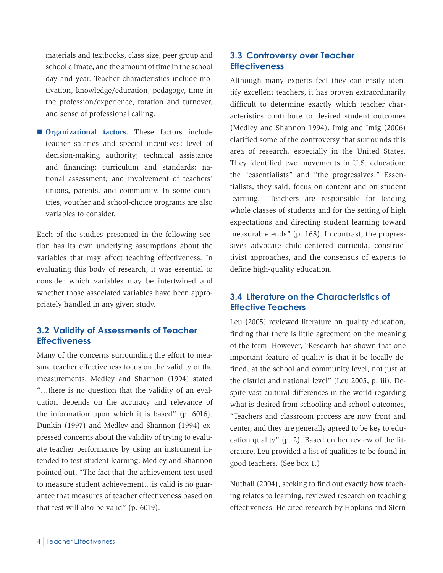<span id="page-7-0"></span>materials and textbooks, class size, peer group and school climate, and the amount of time in the school day and year. Teacher characteristics include motivation, knowledge/education, pedagogy, time in the profession/experience, rotation and turnover, and sense of professional calling.

**Organizational factors.** These factors include teacher salaries and special incentives; level of decision-making authority; technical assistance and financing; curriculum and standards; national assessment; and involvement of teachers' unions, parents, and community. In some countries, voucher and school-choice programs are also variables to consider.

Each of the studies presented in the following section has its own underlying assumptions about the variables that may affect teaching effectiveness. In evaluating this body of research, it was essential to consider which variables may be intertwined and whether those associated variables have been appropriately handled in any given study.

### **3.2 Validity of Assessments of Teacher Effectiveness**

Many of the concerns surrounding the effort to measure teacher effectiveness focus on the validity of the measurements. Medley and Shannon (1994) stated "…there is no question that the validity of an evaluation depends on the accuracy and relevance of the information upon which it is based" (p. 6016). Dunkin (1997) and Medley and Shannon (1994) expressed concerns about the validity of trying to evaluate teacher performance by using an instrument intended to test student learning; Medley and Shannon pointed out, "The fact that the achievement test used to measure student achievement…is valid is no guarantee that measures of teacher effectiveness based on that test will also be valid" (p. 6019).

### **3.3 Controversy over Teacher Effectiveness**

Although many experts feel they can easily identify excellent teachers, it has proven extraordinarily difficult to determine exactly which teacher characteristics contribute to desired student outcomes (Medley and Shannon 1994). Imig and Imig (2006) clarified some of the controversy that surrounds this area of research, especially in the United States. They identified two movements in U.S. education: the "essentialists" and "the progressives." Essentialists, they said, focus on content and on student learning. "Teachers are responsible for leading whole classes of students and for the setting of high expectations and directing student learning toward measurable ends" (p. 168). In contrast, the progressives advocate child-centered curricula, constructivist approaches, and the consensus of experts to define high-quality education.

### **3.4 Literature on the Characteristics of Effective Teachers**

Leu (2005) reviewed literature on quality education, finding that there is little agreement on the meaning of the term. However, "Research has shown that one important feature of quality is that it be locally defined, at the school and community level, not just at the district and national level" (Leu 2005, p. iii). Despite vast cultural differences in the world regarding what is desired from schooling and school outcomes, "Teachers and classroom process are now front and center, and they are generally agreed to be key to education quality" (p. 2). Based on her review of the literature, Leu provided a list of qualities to be found in good teachers. (See box 1.)

Nuthall (2004), seeking to find out exactly how teaching relates to learning, reviewed research on teaching effectiveness. He cited research by Hopkins and Stern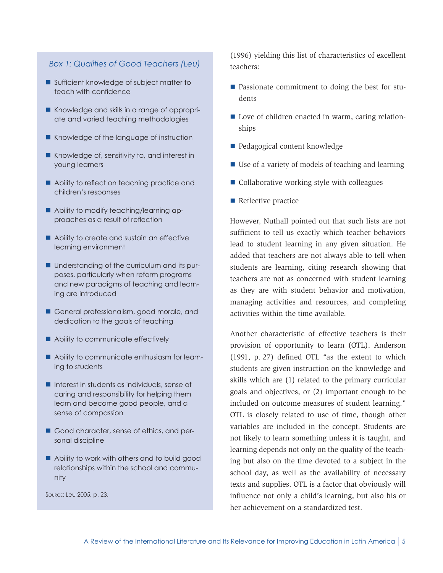#### *Box 1: Qualities of Good Teachers (Leu)*

- Sufficient knowledge of subject matter to teach with confidence
- Knowledge and skills in a range of appropriate and varied teaching methodologies
- Knowledge of the language of instruction
- Knowledge of, sensitivity to, and interest in young learners
- Ability to reflect on teaching practice and children's responses
- Ability to modify teaching/learning approaches as a result of reflection
- Ability to create and sustain an effective learning environment
- Understanding of the curriculum and its purposes, particularly when reform programs and new paradigms of teaching and learning are introduced
- General professionalism, good morale, and dedication to the goals of teaching
- Ability to communicate effectively
- Ability to communicate enthusiasm for learning to students
- $\blacksquare$  Interest in students as individuals, sense of caring and responsibility for helping them learn and become good people, and a sense of compassion
- Good character, sense of ethics, and personal discipline
- Ability to work with others and to build good relationships within the school and community

Source: Leu 2005, p. 23.

(1996) yielding this list of characteristics of excellent teachers:

- **Passionate commitment to doing the best for stu**dents
- Love of children enacted in warm, caring relationships
- **Pedagogical content knowledge**
- Use of a variety of models of teaching and learning
- Collaborative working style with colleagues
- Reflective practice

However, Nuthall pointed out that such lists are not sufficient to tell us exactly which teacher behaviors lead to student learning in any given situation. He added that teachers are not always able to tell when students are learning, citing research showing that teachers are not as concerned with student learning as they are with student behavior and motivation, managing activities and resources, and completing activities within the time available.

Another characteristic of effective teachers is their provision of opportunity to learn (OTL). Anderson (1991, p. 27) defined OTL "as the extent to which students are given instruction on the knowledge and skills which are (1) related to the primary curricular goals and objectives, or (2) important enough to be included on outcome measures of student learning." OTL is closely related to use of time, though other variables are included in the concept. Students are not likely to learn something unless it is taught, and learning depends not only on the quality of the teaching but also on the time devoted to a subject in the school day, as well as the availability of necessary texts and supplies. OTL is a factor that obviously will influence not only a child's learning, but also his or her achievement on a standardized test.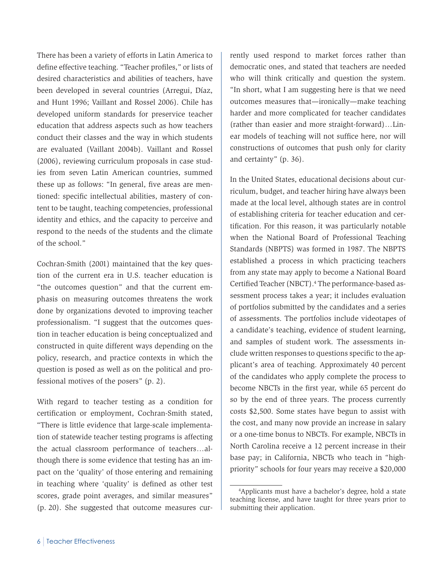There has been a variety of efforts in Latin America to define effective teaching. "Teacher profiles," or lists of desired characteristics and abilities of teachers, have been developed in several countries (Arregui, Díaz, and Hunt 1996; Vaillant and Rossel 2006). Chile has developed uniform standards for preservice teacher education that address aspects such as how teachers conduct their classes and the way in which students are evaluated (Vaillant 2004b). Vaillant and Rossel (2006), reviewing curriculum proposals in case studies from seven Latin American countries, summed these up as follows: "In general, five areas are mentioned: specific intellectual abilities, mastery of content to be taught, teaching competencies, professional identity and ethics, and the capacity to perceive and respond to the needs of the students and the climate of the school."

Cochran-Smith (2001) maintained that the key question of the current era in U.S. teacher education is "the outcomes question" and that the current emphasis on measuring outcomes threatens the work done by organizations devoted to improving teacher professionalism. "I suggest that the outcomes question in teacher education is being conceptualized and constructed in quite different ways depending on the policy, research, and practice contexts in which the question is posed as well as on the political and professional motives of the posers" (p. 2).

With regard to teacher testing as a condition for certification or employment, Cochran-Smith stated, "There is little evidence that large-scale implementation of statewide teacher testing programs is affecting the actual classroom performance of teachers…although there is some evidence that testing has an impact on the 'quality' of those entering and remaining in teaching where 'quality' is defined as other test scores, grade point averages, and similar measures" (p. 20). She suggested that outcome measures currently used respond to market forces rather than democratic ones, and stated that teachers are needed who will think critically and question the system. "In short, what I am suggesting here is that we need outcomes measures that—ironically—make teaching harder and more complicated for teacher candidates (rather than easier and more straight-forward)…Linear models of teaching will not suffice here, nor will constructions of outcomes that push only for clarity and certainty" (p. 36).

In the United States, educational decisions about curriculum, budget, and teacher hiring have always been made at the local level, although states are in control of establishing criteria for teacher education and certification. For this reason, it was particularly notable when the National Board of Professional Teaching Standards (NBPTS) was formed in 1987. The NBPTS established a process in which practicing teachers from any state may apply to become a National Board Certified Teacher (NBCT).<sup>4</sup> The performance-based assessment process takes a year; it includes evaluation of portfolios submitted by the candidates and a series of assessments. The portfolios include videotapes of a candidate's teaching, evidence of student learning, and samples of student work. The assessments include written responses to questions specific to the applicant's area of teaching. Approximately 40 percent of the candidates who apply complete the process to become NBCTs in the first year, while 65 percent do so by the end of three years. The process currently costs \$2,500. Some states have begun to assist with the cost, and many now provide an increase in salary or a one-time bonus to NBCTs. For example, NBCTs in North Carolina receive a 12 percent increase in their base pay; in California, NBCTs who teach in "highpriority" schools for four years may receive a \$20,000

<sup>4</sup> Applicants must have a bachelor's degree, hold a state teaching license, and have taught for three years prior to submitting their application.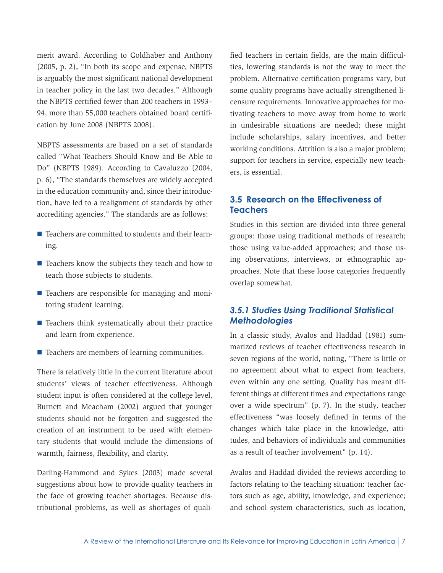<span id="page-10-0"></span>merit award. According to Goldhaber and Anthony (2005, p. 2), "In both its scope and expense, NBPTS is arguably the most significant national development in teacher policy in the last two decades." Although the NBPTS certified fewer than 200 teachers in 1993– 94, more than 55,000 teachers obtained board certification by June 2008 (NBPTS 2008).

NBPTS assessments are based on a set of standards called "What Teachers Should Know and Be Able to Do" (NBPTS 1989). According to Cavaluzzo (2004, p. 6), "The standards themselves are widely accepted in the education community and, since their introduction, have led to a realignment of standards by other accrediting agencies." The standards are as follows:

- Teachers are committed to students and their learning.
- $\blacksquare$  Teachers know the subjects they teach and how to teach those subjects to students.
- Teachers are responsible for managing and monitoring student learning.
- $\blacksquare$  Teachers think systematically about their practice and learn from experience.
- $\blacksquare$  Teachers are members of learning communities.

There is relatively little in the current literature about students' views of teacher effectiveness. Although student input is often considered at the college level, Burnett and Meacham (2002) argued that younger students should not be forgotten and suggested the creation of an instrument to be used with elementary students that would include the dimensions of warmth, fairness, flexibility, and clarity.

Darling-Hammond and Sykes (2003) made several suggestions about how to provide quality teachers in the face of growing teacher shortages. Because distributional problems, as well as shortages of qualified teachers in certain fields, are the main difficulties, lowering standards is not the way to meet the problem. Alternative certification programs vary, but some quality programs have actually strengthened licensure requirements. Innovative approaches for motivating teachers to move away from home to work in undesirable situations are needed; these might include scholarships, salary incentives, and better working conditions. Attrition is also a major problem; support for teachers in service, especially new teachers, is essential.

### **3.5 Research on the Effectiveness of Teachers**

Studies in this section are divided into three general groups: those using traditional methods of research; those using value-added approaches; and those using observations, interviews, or ethnographic approaches. Note that these loose categories frequently overlap somewhat.

### *3.5.1 Studies Using Traditional Statistical Methodologies*

In a classic study, Avalos and Haddad (1981) summarized reviews of teacher effectiveness research in seven regions of the world, noting, "There is little or no agreement about what to expect from teachers, even within any one setting. Quality has meant different things at different times and expectations range over a wide spectrum" (p. 7). In the study, teacher effectiveness "was loosely defined in terms of the changes which take place in the knowledge, attitudes, and behaviors of individuals and communities as a result of teacher involvement" (p. 14).

Avalos and Haddad divided the reviews according to factors relating to the teaching situation: teacher factors such as age, ability, knowledge, and experience; and school system characteristics, such as location,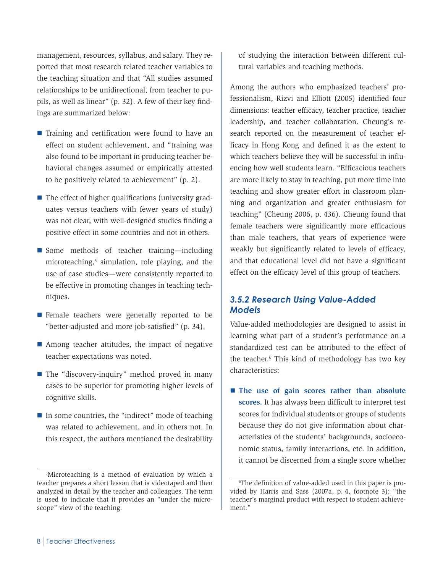management, resources, syllabus, and salary. They reported that most research related teacher variables to the teaching situation and that "All studies assumed relationships to be unidirectional, from teacher to pupils, as well as linear" (p. 32). A few of their key findings are summarized below:

- Training and certification were found to have an effect on student achievement, and "training was also found to be important in producing teacher behavioral changes assumed or empirically attested to be positively related to achievement" (p. 2).
- $\blacksquare$  The effect of higher qualifications (university graduates versus teachers with fewer years of study) was not clear, with well-designed studies finding a positive effect in some countries and not in others.
- Some methods of teacher training—including microteaching,<sup>5</sup> simulation, role playing, and the use of case studies—were consistently reported to be effective in promoting changes in teaching techniques.
- **Female teachers were generally reported to be** "better-adjusted and more job-satisfied" (p. 34).
- Among teacher attitudes, the impact of negative teacher expectations was noted.
- The "discovery-inquiry" method proved in many cases to be superior for promoting higher levels of cognitive skills.
- $\blacksquare$  In some countries, the "indirect" mode of teaching was related to achievement, and in others not. In this respect, the authors mentioned the desirability

of studying the interaction between different cultural variables and teaching methods.

Among the authors who emphasized teachers' professionalism, Rizvi and Elliott (2005) identified four dimensions: teacher efficacy, teacher practice, teacher leadership, and teacher collaboration. Cheung's research reported on the measurement of teacher efficacy in Hong Kong and defined it as the extent to which teachers believe they will be successful in influencing how well students learn. "Efficacious teachers are more likely to stay in teaching, put more time into teaching and show greater effort in classroom planning and organization and greater enthusiasm for teaching" (Cheung 2006, p. 436). Cheung found that female teachers were significantly more efficacious than male teachers, that years of experience were weakly but significantly related to levels of efficacy, and that educational level did not have a significant effect on the efficacy level of this group of teachers.

### *3.5.2 Research Using Value-Added Models*

Value-added methodologies are designed to assist in learning what part of a student's performance on a standardized test can be attributed to the effect of the teacher.6 This kind of methodology has two key characteristics:

**The use of gain scores rather than absolute scores.** It has always been difficult to interpret test scores for individual students or groups of students because they do not give information about characteristics of the students' backgrounds, socioeconomic status, family interactions, etc. In addition, it cannot be discerned from a single score whether

<sup>5</sup> Microteaching is a method of evaluation by which a teacher prepares a short lesson that is videotaped and then analyzed in detail by the teacher and colleagues. The term is used to indicate that it provides an "under the microscope" view of the teaching.

<sup>6</sup> The definition of value-added used in this paper is provided by Harris and Sass (2007a, p. 4, footnote 3): "the teacher's marginal product with respect to student achievement."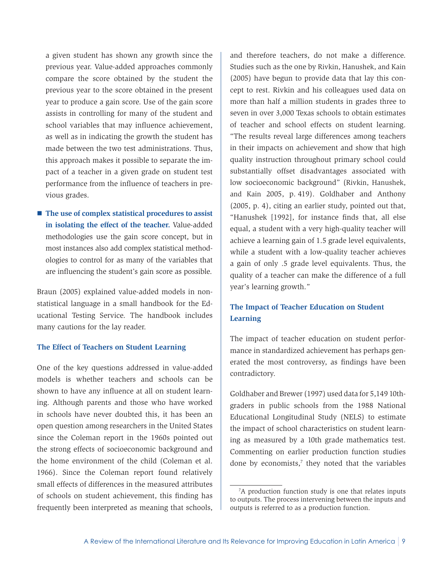a given student has shown any growth since the previous year. Value-added approaches commonly compare the score obtained by the student the previous year to the score obtained in the present year to produce a gain score. Use of the gain score assists in controlling for many of the student and school variables that may influence achievement, as well as in indicating the growth the student has made between the two test administrations. Thus, this approach makes it possible to separate the impact of a teacher in a given grade on student test performance from the influence of teachers in previous grades.

■ The use of complex statistical procedures to assist **in isolating the effect of the teacher.** Value-added methodologies use the gain score concept, but in most instances also add complex statistical methodologies to control for as many of the variables that are influencing the student's gain score as possible.

Braun (2005) explained value-added models in nonstatistical language in a small handbook for the Educational Testing Service. The handbook includes many cautions for the lay reader.

#### **The Effect of Teachers on Student Learning**

One of the key questions addressed in value-added models is whether teachers and schools can be shown to have any influence at all on student learning. Although parents and those who have worked in schools have never doubted this, it has been an open question among researchers in the United States since the Coleman report in the 1960s pointed out the strong effects of socioeconomic background and the home environment of the child (Coleman et al. 1966). Since the Coleman report found relatively small effects of differences in the measured attributes of schools on student achievement, this finding has frequently been interpreted as meaning that schools,

and therefore teachers, do not make a difference. Studies such as the one by Rivkin, Hanushek, and Kain (2005) have begun to provide data that lay this concept to rest. Rivkin and his colleagues used data on more than half a million students in grades three to seven in over 3,000 Texas schools to obtain estimates of teacher and school effects on student learning. "The results reveal large differences among teachers in their impacts on achievement and show that high quality instruction throughout primary school could substantially offset disadvantages associated with low socioeconomic background" (Rivkin, Hanushek, and Kain 2005, p. 419). Goldhaber and Anthony (2005, p. 4), citing an earlier study, pointed out that, "Hanushek [1992], for instance finds that, all else equal, a student with a very high-quality teacher will achieve a learning gain of 1.5 grade level equivalents, while a student with a low-quality teacher achieves a gain of only .5 grade level equivalents. Thus, the quality of a teacher can make the difference of a full year's learning growth."

### **The Impact of Teacher Education on Student Learning**

The impact of teacher education on student performance in standardized achievement has perhaps generated the most controversy, as findings have been contradictory.

Goldhaber and Brewer (1997) used data for 5,149 10thgraders in public schools from the 1988 National Educational Longitudinal Study (NELS) to estimate the impact of school characteristics on student learning as measured by a 10th grade mathematics test. Commenting on earlier production function studies done by economists,<sup>7</sup> they noted that the variables

<sup>7</sup> A production function study is one that relates inputs to outputs. The process intervening between the inputs and outputs is referred to as a production function.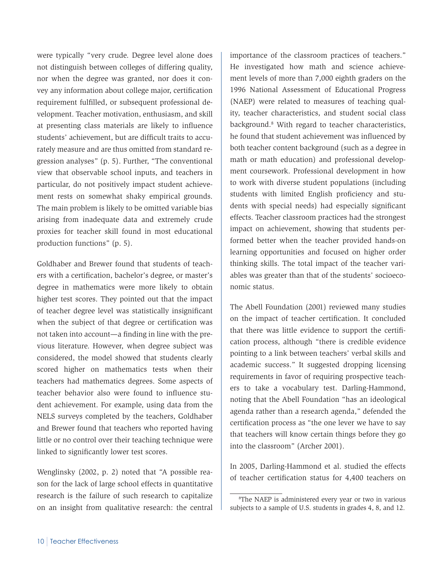were typically "very crude. Degree level alone does not distinguish between colleges of differing quality, nor when the degree was granted, nor does it convey any information about college major, certification requirement fulfilled, or subsequent professional development. Teacher motivation, enthusiasm, and skill at presenting class materials are likely to influence students' achievement, but are difficult traits to accurately measure and are thus omitted from standard regression analyses" (p. 5). Further, "The conventional view that observable school inputs, and teachers in particular, do not positively impact student achievement rests on somewhat shaky empirical grounds. The main problem is likely to be omitted variable bias arising from inadequate data and extremely crude proxies for teacher skill found in most educational production functions" (p. 5).

Goldhaber and Brewer found that students of teachers with a certification, bachelor's degree, or master's degree in mathematics were more likely to obtain higher test scores. They pointed out that the impact of teacher degree level was statistically insignificant when the subject of that degree or certification was not taken into account—a finding in line with the previous literature. However, when degree subject was considered, the model showed that students clearly scored higher on mathematics tests when their teachers had mathematics degrees. Some aspects of teacher behavior also were found to influence student achievement. For example, using data from the NELS surveys completed by the teachers, Goldhaber and Brewer found that teachers who reported having little or no control over their teaching technique were linked to significantly lower test scores.

Wenglinsky (2002, p. 2) noted that "A possible reason for the lack of large school effects in quantitative research is the failure of such research to capitalize on an insight from qualitative research: the central

importance of the classroom practices of teachers." He investigated how math and science achievement levels of more than 7,000 eighth graders on the 1996 National Assessment of Educational Progress (NAEP) were related to measures of teaching quality, teacher characteristics, and student social class background.8 With regard to teacher characteristics, he found that student achievement was influenced by both teacher content background (such as a degree in math or math education) and professional development coursework. Professional development in how to work with diverse student populations (including students with limited English proficiency and students with special needs) had especially significant effects. Teacher classroom practices had the strongest impact on achievement, showing that students performed better when the teacher provided hands-on learning opportunities and focused on higher order thinking skills. The total impact of the teacher variables was greater than that of the students' socioeconomic status.

The Abell Foundation (2001) reviewed many studies on the impact of teacher certification. It concluded that there was little evidence to support the certification process, although "there is credible evidence pointing to a link between teachers' verbal skills and academic success." It suggested dropping licensing requirements in favor of requiring prospective teachers to take a vocabulary test. Darling-Hammond, noting that the Abell Foundation "has an ideological agenda rather than a research agenda," defended the certification process as "the one lever we have to say that teachers will know certain things before they go into the classroom" (Archer 2001).

In 2005, Darling-Hammond et al. studied the effects of teacher certification status for 4,400 teachers on

<sup>8</sup> The NAEP is administered every year or two in various subjects to a sample of U.S. students in grades 4, 8, and 12.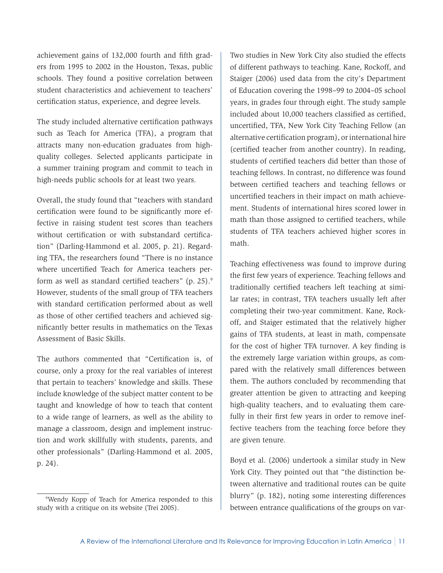achievement gains of 132,000 fourth and fifth graders from 1995 to 2002 in the Houston, Texas, public schools. They found a positive correlation between student characteristics and achievement to teachers' certification status, experience, and degree levels.

The study included alternative certification pathways such as Teach for America (TFA), a program that attracts many non-education graduates from highquality colleges. Selected applicants participate in a summer training program and commit to teach in high-needs public schools for at least two years.

Overall, the study found that "teachers with standard certification were found to be significantly more effective in raising student test scores than teachers without certification or with substandard certification" (Darling-Hammond et al. 2005, p. 21). Regarding TFA, the researchers found "There is no instance where uncertified Teach for America teachers perform as well as standard certified teachers" (p. 25).<sup>9</sup> However, students of the small group of TFA teachers with standard certification performed about as well as those of other certified teachers and achieved significantly better results in mathematics on the Texas Assessment of Basic Skills.

The authors commented that "Certification is, of course, only a proxy for the real variables of interest that pertain to teachers' knowledge and skills. These include knowledge of the subject matter content to be taught and knowledge of how to teach that content to a wide range of learners, as well as the ability to manage a classroom, design and implement instruction and work skillfully with students, parents, and other professionals" (Darling-Hammond et al. 2005, p. 24).

Two studies in New York City also studied the effects of different pathways to teaching. Kane, Rockoff, and Staiger (2006) used data from the city's Department of Education covering the 1998–99 to 2004–05 school years, in grades four through eight. The study sample included about 10,000 teachers classified as certified, uncertified, TFA, New York City Teaching Fellow (an alternative certification program), or international hire (certified teacher from another country). In reading, students of certified teachers did better than those of teaching fellows. In contrast, no difference was found between certified teachers and teaching fellows or uncertified teachers in their impact on math achievement. Students of international hires scored lower in math than those assigned to certified teachers, while students of TFA teachers achieved higher scores in math.

Teaching effectiveness was found to improve during the first few years of experience. Teaching fellows and traditionally certified teachers left teaching at similar rates; in contrast, TFA teachers usually left after completing their two-year commitment. Kane, Rockoff, and Staiger estimated that the relatively higher gains of TFA students, at least in math, compensate for the cost of higher TFA turnover. A key finding is the extremely large variation within groups, as compared with the relatively small differences between them. The authors concluded by recommending that greater attention be given to attracting and keeping high-quality teachers, and to evaluating them carefully in their first few years in order to remove ineffective teachers from the teaching force before they are given tenure.

Boyd et al. (2006) undertook a similar study in New York City. They pointed out that "the distinction between alternative and traditional routes can be quite blurry" (p. 182), noting some interesting differences between entrance qualifications of the groups on var-

<sup>9</sup> Wendy Kopp of Teach for America responded to this study with a critique on its website (Trei 2005).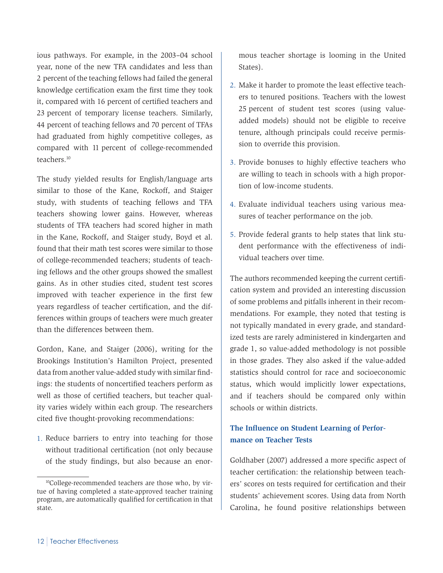ious pathways. For example, in the 2003–04 school year, none of the new TFA candidates and less than 2 percent of the teaching fellows had failed the general knowledge certification exam the first time they took it, compared with 16 percent of certified teachers and 23 percent of temporary license teachers. Similarly, 44 percent of teaching fellows and 70 percent of TFAs had graduated from highly competitive colleges, as compared with 11 percent of college-recommended teachers.10

The study yielded results for English/language arts similar to those of the Kane, Rockoff, and Staiger study, with students of teaching fellows and TFA teachers showing lower gains. However, whereas students of TFA teachers had scored higher in math in the Kane, Rockoff, and Staiger study, Boyd et al. found that their math test scores were similar to those of college-recommended teachers; students of teaching fellows and the other groups showed the smallest gains. As in other studies cited, student test scores improved with teacher experience in the first few years regardless of teacher certification, and the differences within groups of teachers were much greater than the differences between them.

Gordon, Kane, and Staiger (2006), writing for the Brookings Institution's Hamilton Project, presented data from another value-added study with similar findings: the students of noncertified teachers perform as well as those of certified teachers, but teacher quality varies widely within each group. The researchers cited five thought-provoking recommendations:

1. Reduce barriers to entry into teaching for those without traditional certification (not only because of the study findings, but also because an enormous teacher shortage is looming in the United States).

- 2. Make it harder to promote the least effective teachers to tenured positions. Teachers with the lowest 25 percent of student test scores (using valueadded models) should not be eligible to receive tenure, although principals could receive permission to override this provision.
- 3. Provide bonuses to highly effective teachers who are willing to teach in schools with a high proportion of low-income students.
- 4. Evaluate individual teachers using various measures of teacher performance on the job.
- 5. Provide federal grants to help states that link student performance with the effectiveness of individual teachers over time.

The authors recommended keeping the current certification system and provided an interesting discussion of some problems and pitfalls inherent in their recommendations. For example, they noted that testing is not typically mandated in every grade, and standardized tests are rarely administered in kindergarten and grade 1, so value-added methodology is not possible in those grades. They also asked if the value-added statistics should control for race and socioeconomic status, which would implicitly lower expectations, and if teachers should be compared only within schools or within districts.

### **The Influence on Student Learning of Performance on Teacher Tests**

Goldhaber (2007) addressed a more specific aspect of teacher certification: the relationship between teachers' scores on tests required for certification and their students' achievement scores. Using data from North Carolina, he found positive relationships between

<sup>&</sup>lt;sup>10</sup>College-recommended teachers are those who, by virtue of having completed a state-approved teacher training program, are automatically qualified for certification in that state.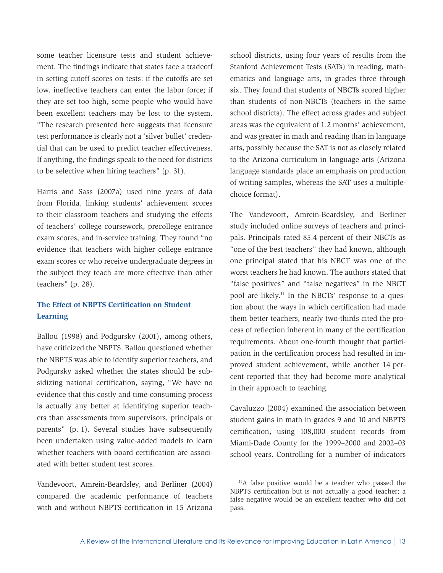some teacher licensure tests and student achievement. The findings indicate that states face a tradeoff in setting cutoff scores on tests: if the cutoffs are set low, ineffective teachers can enter the labor force; if they are set too high, some people who would have been excellent teachers may be lost to the system. "The research presented here suggests that licensure test performance is clearly not a 'silver bullet' credential that can be used to predict teacher effectiveness. If anything, the findings speak to the need for districts to be selective when hiring teachers" (p. 31).

Harris and Sass (2007a) used nine years of data from Florida, linking students' achievement scores to their classroom teachers and studying the effects of teachers' college coursework, precollege entrance exam scores, and in-service training. They found "no evidence that teachers with higher college entrance exam scores or who receive undergraduate degrees in the subject they teach are more effective than other teachers" (p. 28).

### **The Effect of NBPTS Certification on Student Learning**

Ballou (1998) and Podgursky (2001), among others, have criticized the NBPTS. Ballou questioned whether the NBPTS was able to identify superior teachers, and Podgursky asked whether the states should be subsidizing national certification, saying, "We have no evidence that this costly and time-consuming process is actually any better at identifying superior teachers than assessments from supervisors, principals or parents" (p. 1). Several studies have subsequently been undertaken using value-added models to learn whether teachers with board certification are associated with better student test scores.

Vandevoort, Amrein-Beardsley, and Berliner (2004) compared the academic performance of teachers with and without NBPTS certification in 15 Arizona school districts, using four years of results from the Stanford Achievement Tests (SATs) in reading, mathematics and language arts, in grades three through six. They found that students of NBCTs scored higher than students of non-NBCTs (teachers in the same school districts). The effect across grades and subject areas was the equivalent of 1.2 months' achievement, and was greater in math and reading than in language arts, possibly because the SAT is not as closely related to the Arizona curriculum in language arts (Arizona language standards place an emphasis on production of writing samples, whereas the SAT uses a multiplechoice format).

The Vandevoort, Amrein-Beardsley, and Berliner study included online surveys of teachers and principals. Principals rated 85.4 percent of their NBCTs as "one of the best teachers" they had known, although one principal stated that his NBCT was one of the worst teachers he had known. The authors stated that "false positives" and "false negatives" in the NBCT pool are likely.11 In the NBCTs' response to a question about the ways in which certification had made them better teachers, nearly two-thirds cited the process of reflection inherent in many of the certification requirements. About one-fourth thought that participation in the certification process had resulted in improved student achievement, while another 14 percent reported that they had become more analytical in their approach to teaching.

Cavaluzzo (2004) examined the association between student gains in math in grades 9 and 10 and NBPTS certification, using 108,000 student records from Miami-Dade County for the 1999–2000 and 2002–03 school years. Controlling for a number of indicators

 $<sup>11</sup>A$  false positive would be a teacher who passed the</sup> NBPTS certification but is not actually a good teacher; a false negative would be an excellent teacher who did not pass.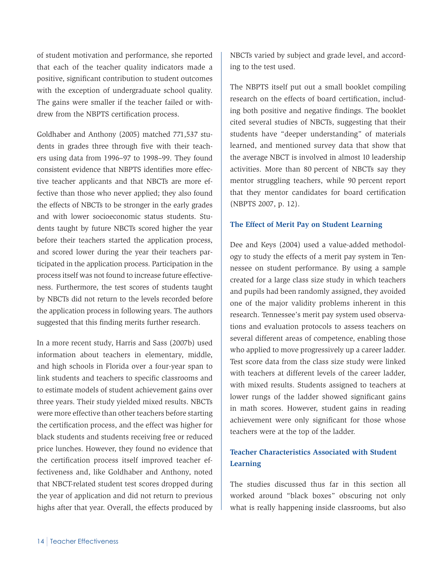of student motivation and performance, she reported that each of the teacher quality indicators made a positive, significant contribution to student outcomes with the exception of undergraduate school quality. The gains were smaller if the teacher failed or withdrew from the NBPTS certification process.

Goldhaber and Anthony (2005) matched 771,537 students in grades three through five with their teachers using data from 1996–97 to 1998–99. They found consistent evidence that NBPTS identifies more effective teacher applicants and that NBCTs are more effective than those who never applied; they also found the effects of NBCTs to be stronger in the early grades and with lower socioeconomic status students. Students taught by future NBCTs scored higher the year before their teachers started the application process, and scored lower during the year their teachers participated in the application process. Participation in the process itself was not found to increase future effectiveness. Furthermore, the test scores of students taught by NBCTs did not return to the levels recorded before the application process in following years. The authors suggested that this finding merits further research.

In a more recent study, Harris and Sass (2007b) used information about teachers in elementary, middle, and high schools in Florida over a four-year span to link students and teachers to specific classrooms and to estimate models of student achievement gains over three years. Their study yielded mixed results. NBCTs were more effective than other teachers before starting the certification process, and the effect was higher for black students and students receiving free or reduced price lunches. However, they found no evidence that the certification process itself improved teacher effectiveness and, like Goldhaber and Anthony, noted that NBCT-related student test scores dropped during the year of application and did not return to previous highs after that year. Overall, the effects produced by

NBCTs varied by subject and grade level, and according to the test used.

The NBPTS itself put out a small booklet compiling research on the effects of board certification, including both positive and negative findings. The booklet cited several studies of NBCTs, suggesting that their students have "deeper understanding" of materials learned, and mentioned survey data that show that the average NBCT is involved in almost 10 leadership activities. More than 80 percent of NBCTs say they mentor struggling teachers, while 90 percent report that they mentor candidates for board certification (NBPTS 2007, p. 12).

#### **The Effect of Merit Pay on Student Learning**

Dee and Keys (2004) used a value-added methodology to study the effects of a merit pay system in Tennessee on student performance. By using a sample created for a large class size study in which teachers and pupils had been randomly assigned, they avoided one of the major validity problems inherent in this research. Tennessee's merit pay system used observations and evaluation protocols to assess teachers on several different areas of competence, enabling those who applied to move progressively up a career ladder. Test score data from the class size study were linked with teachers at different levels of the career ladder, with mixed results. Students assigned to teachers at lower rungs of the ladder showed significant gains in math scores. However, student gains in reading achievement were only significant for those whose teachers were at the top of the ladder.

### **Teacher Characteristics Associated with Student Learning**

The studies discussed thus far in this section all worked around "black boxes" obscuring not only what is really happening inside classrooms, but also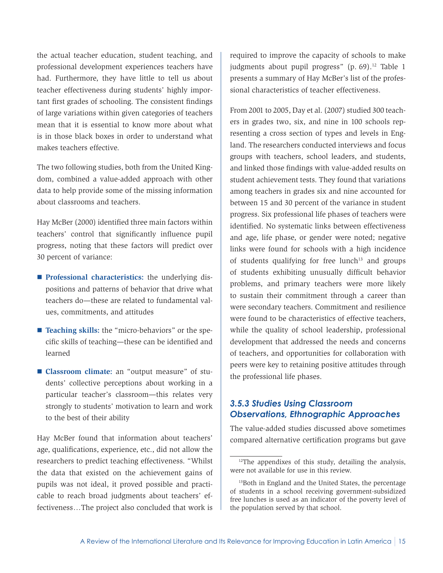the actual teacher education, student teaching, and professional development experiences teachers have had. Furthermore, they have little to tell us about teacher effectiveness during students' highly important first grades of schooling. The consistent findings of large variations within given categories of teachers mean that it is essential to know more about what is in those black boxes in order to understand what makes teachers effective.

The two following studies, both from the United Kingdom, combined a value-added approach with other data to help provide some of the missing information about classrooms and teachers.

Hay McBer (2000) identified three main factors within teachers' control that significantly influence pupil progress, noting that these factors will predict over 30 percent of variance:

- **Professional characteristics:** the underlying dispositions and patterns of behavior that drive what teachers do—these are related to fundamental values, commitments, and attitudes
- **Teaching skills:** the "micro-behaviors" or the specific skills of teaching—these can be identified and learned
- **Classroom climate:** an "output measure" of students' collective perceptions about working in a particular teacher's classroom—this relates very strongly to students' motivation to learn and work to the best of their ability

Hay McBer found that information about teachers' age, qualifications, experience, etc., did not allow the researchers to predict teaching effectiveness. "Whilst the data that existed on the achievement gains of pupils was not ideal, it proved possible and practicable to reach broad judgments about teachers' effectiveness…The project also concluded that work is

required to improve the capacity of schools to make judgments about pupil progress"  $(p. 69)$ .<sup>12</sup> Table 1 presents a summary of Hay McBer's list of the professional characteristics of teacher effectiveness.

From 2001 to 2005, Day et al. (2007) studied 300 teachers in grades two, six, and nine in 100 schools representing a cross section of types and levels in England. The researchers conducted interviews and focus groups with teachers, school leaders, and students, and linked those findings with value-added results on student achievement tests. They found that variations among teachers in grades six and nine accounted for between 15 and 30 percent of the variance in student progress. Six professional life phases of teachers were identified. No systematic links between effectiveness and age, life phase, or gender were noted; negative links were found for schools with a high incidence of students qualifying for free lunch $13$  and groups of students exhibiting unusually difficult behavior problems, and primary teachers were more likely to sustain their commitment through a career than were secondary teachers. Commitment and resilience were found to be characteristics of effective teachers, while the quality of school leadership, professional development that addressed the needs and concerns of teachers, and opportunities for collaboration with peers were key to retaining positive attitudes through the professional life phases.

### *3.5.3 Studies Using Classroom Observations, Ethnographic Approaches*

The value-added studies discussed above sometimes compared alternative certification programs but gave

<sup>&</sup>lt;sup>12</sup>The appendixes of this study, detailing the analysis, were not available for use in this review.

<sup>&</sup>lt;sup>13</sup>Both in England and the United States, the percentage of students in a school receiving government-subsidized free lunches is used as an indicator of the poverty level of the population served by that school.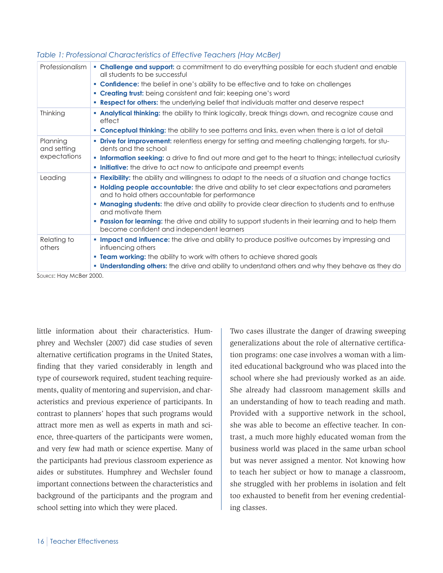| Professionalism                         | • Challenge and support: a commitment to do everything possible for each student and enable<br>all students to be successful                                                                                                                                       |
|-----------------------------------------|--------------------------------------------------------------------------------------------------------------------------------------------------------------------------------------------------------------------------------------------------------------------|
|                                         | • Confidence: the belief in one's ability to be effective and to take on challenges                                                                                                                                                                                |
|                                         | • Creating trust: being consistent and fair; keeping one's word                                                                                                                                                                                                    |
|                                         | . Respect for others: the underlying belief that individuals matter and deserve respect                                                                                                                                                                            |
| Thinking                                | <b>- Analytical thinking:</b> the ability to think logically, break things down, and recognize cause and<br>effect                                                                                                                                                 |
|                                         | <b>Conceptual thinking:</b> the ability to see patterns and links, even when there is a lot of detail                                                                                                                                                              |
| Planning<br>and setting<br>expectations | <b>• Drive for improvement:</b> relentless energy for setting and meeting challenging targets, for stu-<br>dents and the school                                                                                                                                    |
|                                         | <b>Information seeking:</b> a drive to find out more and get to the heart to things; intellectual curiosity<br>. Initiative: the drive to act now to anticipate and preempt events                                                                                 |
| Leading                                 | <b>- Flexibility:</b> the ability and willingness to adapt to the needs of a situation and change tactics<br><b>• Holding people accountable:</b> the drive and ability to set clear expectations and parameters<br>and to hold others accountable for performance |
|                                         | <b>• Managing students:</b> the drive and ability to provide clear direction to students and to enthuse<br>and motivate them                                                                                                                                       |
|                                         | <b>- Passion for learning:</b> the drive and ability to support students in their learning and to help them<br>become confident and independent learners                                                                                                           |
| Relating to<br>others                   | <b>Impact and influence:</b> the drive and ability to produce positive outcomes by impressing and<br>influencing others                                                                                                                                            |
|                                         | • Team working: the ability to work with others to achieve shared goals                                                                                                                                                                                            |
|                                         | <b>■ Understanding others:</b> the drive and ability to understand others and why they behave as they do                                                                                                                                                           |

#### *Table 1: Professional Characteristics of Effective Teachers (Hay McBer)*

SOURCE: Hay McBer 2000.

little information about their characteristics. Humphrey and Wechsler (2007) did case studies of seven alternative certification programs in the United States, finding that they varied considerably in length and type of coursework required, student teaching requirements, quality of mentoring and supervision, and characteristics and previous experience of participants. In contrast to planners' hopes that such programs would attract more men as well as experts in math and science, three-quarters of the participants were women, and very few had math or science expertise. Many of the participants had previous classroom experience as aides or substitutes. Humphrey and Wechsler found important connections between the characteristics and background of the participants and the program and school setting into which they were placed.

Two cases illustrate the danger of drawing sweeping generalizations about the role of alternative certification programs: one case involves a woman with a limited educational background who was placed into the school where she had previously worked as an aide. She already had classroom management skills and an understanding of how to teach reading and math. Provided with a supportive network in the school, she was able to become an effective teacher. In contrast, a much more highly educated woman from the business world was placed in the same urban school but was never assigned a mentor. Not knowing how to teach her subject or how to manage a classroom, she struggled with her problems in isolation and felt too exhausted to benefit from her evening credentialing classes.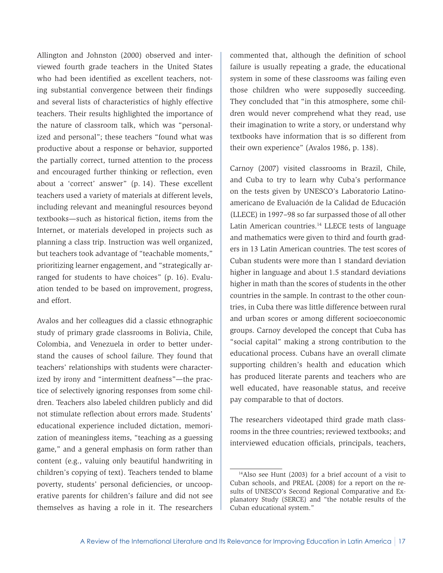Allington and Johnston (2000) observed and interviewed fourth grade teachers in the United States who had been identified as excellent teachers, noting substantial convergence between their findings and several lists of characteristics of highly effective teachers. Their results highlighted the importance of the nature of classroom talk, which was "personalized and personal"; these teachers "found what was productive about a response or behavior, supported the partially correct, turned attention to the process and encouraged further thinking or reflection, even about a 'correct' answer" (p. 14). These excellent teachers used a variety of materials at different levels, including relevant and meaningful resources beyond textbooks—such as historical fiction, items from the Internet, or materials developed in projects such as planning a class trip. Instruction was well organized, but teachers took advantage of "teachable moments," prioritizing learner engagement, and "strategically arranged for students to have choices" (p. 16). Evaluation tended to be based on improvement, progress, and effort.

Avalos and her colleagues did a classic ethnographic study of primary grade classrooms in Bolivia, Chile, Colombia, and Venezuela in order to better understand the causes of school failure. They found that teachers' relationships with students were characterized by irony and "intermittent deafness"—the practice of selectively ignoring responses from some children. Teachers also labeled children publicly and did not stimulate reflection about errors made. Students' educational experience included dictation, memorization of meaningless items, "teaching as a guessing game," and a general emphasis on form rather than content (e.g., valuing only beautiful handwriting in children's copying of text). Teachers tended to blame poverty, students' personal deficiencies, or uncooperative parents for children's failure and did not see themselves as having a role in it. The researchers

commented that, although the definition of school failure is usually repeating a grade, the educational system in some of these classrooms was failing even those children who were supposedly succeeding. They concluded that "in this atmosphere, some children would never comprehend what they read, use their imagination to write a story, or understand why textbooks have information that is so different from their own experience" (Avalos 1986, p. 138).

Carnoy (2007) visited classrooms in Brazil, Chile, and Cuba to try to learn why Cuba's performance on the tests given by UNESCO's Laboratorio Latinoamericano de Evaluación de la Calidad de Educación (LLECE) in 1997–98 so far surpassed those of all other Latin American countries.<sup>14</sup> LLECE tests of language and mathematics were given to third and fourth graders in 13 Latin American countries. The test scores of Cuban students were more than 1 standard deviation higher in language and about 1.5 standard deviations higher in math than the scores of students in the other countries in the sample. In contrast to the other countries, in Cuba there was little difference between rural and urban scores or among different socioeconomic groups. Carnoy developed the concept that Cuba has "social capital" making a strong contribution to the educational process. Cubans have an overall climate supporting children's health and education which has produced literate parents and teachers who are well educated, have reasonable status, and receive pay comparable to that of doctors.

The researchers videotaped third grade math classrooms in the three countries; reviewed textbooks; and interviewed education officials, principals, teachers,

<sup>14</sup>Also see Hunt (2003) for a brief account of a visit to Cuban schools, and PREAL (2008) for a report on the results of UNESCO's Second Regional Comparative and Explanatory Study (SERCE) and "the notable results of the Cuban educational system."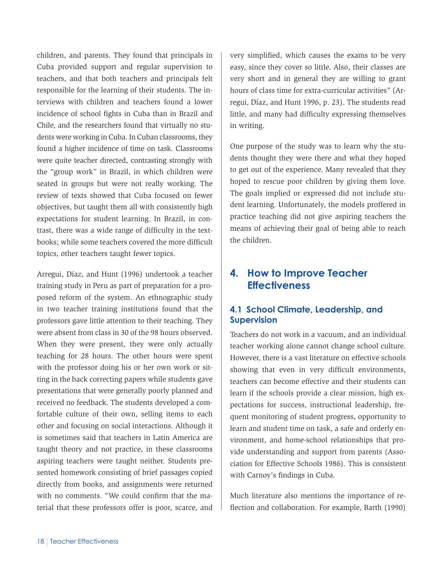<span id="page-21-0"></span>children, and parents. They found that principals in Cuba provided support and regular supervision to teachers, and that both teachers and principals felt responsible for the learning of their students. The interviews with children and teachers found a lower incidence of school fights in Cuba than in Brazil and Chile, and the researchers found that virtually no students were working in Cuba. In Cuban classrooms, they found a higher incidence of time on task. Classrooms were quite teacher directed, contrasting strongly with the "group work" in Brazil, in which children were seated in groups but were not really working. The review of texts showed that Cuba focused on fewer objectives, but taught them all with consistently high expectations for student learning. In Brazil, in contrast, there was a wide range of difficulty in the textbooks; while some teachers covered the more difficult topics, other teachers taught fewer topics.

Arregui, Díaz, and Hunt (1996) undertook a teacher training study in Peru as part of preparation for a proposed reform of the system. An ethnographic study in two teacher training institutions found that the professors gave little attention to their teaching. They were absent from class in 30 of the 98 hours observed. When they were present, they were only actually teaching for 28 hours. The other hours were spent with the professor doing his or her own work or sitting in the back correcting papers while students gave presentations that were generally poorly planned and received no feedback. The students developed a comfortable culture of their own, selling items to each other and focusing on social interactions. Although it is sometimes said that teachers in Latin America are taught theory and not practice, in these classrooms aspiring teachers were taught neither. Students presented homework consisting of brief passages copied directly from books, and assignments were returned with no comments. "We could confirm that the material that these professors offer is poor, scarce, and

very simplified, which causes the exams to be very easy, since they cover so little. Also, their classes are very short and in general they are willing to grant hours of class time for extra-curricular activities" (Arregui, Díaz, and Hunt 1996, p. 23). The students read little, and many had difficulty expressing themselves in writing.

One purpose of the study was to learn why the students thought they were there and what they hoped to get out of the experience. Many revealed that they hoped to rescue poor children by giving them love. The goals implied or expressed did not include student learning. Unfortunately, the models proffered in practice teaching did not give aspiring teachers the means of achieving their goal of being able to reach the children.

### **4. How to Improve Teacher Effectiveness**

### **4.1 School Climate, Leadership, and Supervision**

Teachers do not work in a vacuum, and an individual teacher working alone cannot change school culture. However, there is a vast literature on effective schools showing that even in very difficult environments, teachers can become effective and their students can learn if the schools provide a clear mission, high expectations for success, instructional leadership, frequent monitoring of student progress, opportunity to learn and student time on task, a safe and orderly environment, and home-school relationships that provide understanding and support from parents (Association for Effective Schools 1986). This is consistent with Carnoy's findings in Cuba.

Much literature also mentions the importance of reflection and collaboration. For example, Barth (1990)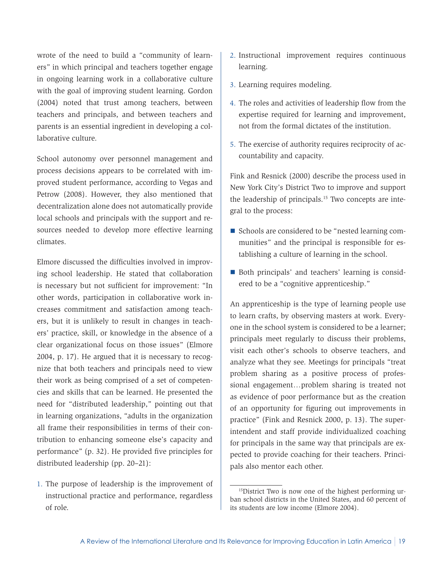wrote of the need to build a "community of learners" in which principal and teachers together engage in ongoing learning work in a collaborative culture with the goal of improving student learning. Gordon (2004) noted that trust among teachers, between teachers and principals, and between teachers and parents is an essential ingredient in developing a collaborative culture.

School autonomy over personnel management and process decisions appears to be correlated with improved student performance, according to Vegas and Petrow (2008). However, they also mentioned that decentralization alone does not automatically provide local schools and principals with the support and resources needed to develop more effective learning climates.

Elmore discussed the difficulties involved in improving school leadership. He stated that collaboration is necessary but not sufficient for improvement: "In other words, participation in collaborative work increases commitment and satisfaction among teachers, but it is unlikely to result in changes in teachers' practice, skill, or knowledge in the absence of a clear organizational focus on those issues" (Elmore 2004, p. 17). He argued that it is necessary to recognize that both teachers and principals need to view their work as being comprised of a set of competencies and skills that can be learned. He presented the need for "distributed leadership," pointing out that in learning organizations, "adults in the organization all frame their responsibilities in terms of their contribution to enhancing someone else's capacity and performance" (p. 32). He provided five principles for distributed leadership (pp. 20–21):

1. The purpose of leadership is the improvement of instructional practice and performance, regardless of role.

- 2. Instructional improvement requires continuous learning.
- 3. Learning requires modeling.
- 4. The roles and activities of leadership flow from the expertise required for learning and improvement, not from the formal dictates of the institution.
- 5. The exercise of authority requires reciprocity of accountability and capacity.

Fink and Resnick (2000) describe the process used in New York City's District Two to improve and support the leadership of principals.15 Two concepts are integral to the process:

- Schools are considered to be "nested learning communities" and the principal is responsible for establishing a culture of learning in the school.
- Both principals' and teachers' learning is considered to be a "cognitive apprenticeship."

An apprenticeship is the type of learning people use to learn crafts, by observing masters at work. Everyone in the school system is considered to be a learner; principals meet regularly to discuss their problems, visit each other's schools to observe teachers, and analyze what they see. Meetings for principals "treat problem sharing as a positive process of professional engagement…problem sharing is treated not as evidence of poor performance but as the creation of an opportunity for figuring out improvements in practice" (Fink and Resnick 2000, p. 13). The superintendent and staff provide individualized coaching for principals in the same way that principals are expected to provide coaching for their teachers. Principals also mentor each other.

<sup>15</sup>District Two is now one of the highest performing urban school districts in the United States, and 60 percent of its students are low income (Elmore 2004).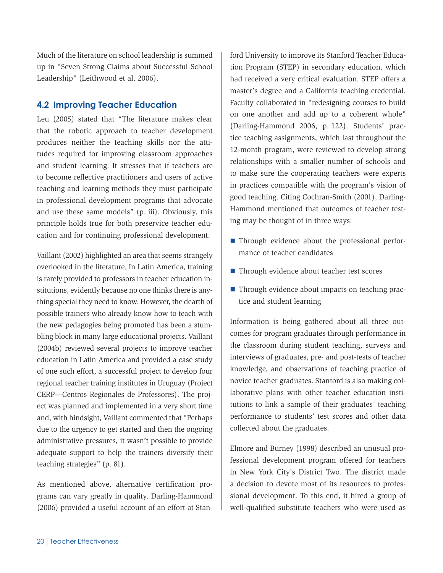<span id="page-23-0"></span>Much of the literature on school leadership is summed up in "Seven Strong Claims about Successful School Leadership" (Leithwood et al. 2006).

### **4.2 Improving Teacher Education**

Leu (2005) stated that "The literature makes clear that the robotic approach to teacher development produces neither the teaching skills nor the attitudes required for improving classroom approaches and student learning. It stresses that if teachers are to become reflective practitioners and users of active teaching and learning methods they must participate in professional development programs that advocate and use these same models" (p. iii). Obviously, this principle holds true for both preservice teacher education and for continuing professional development.

Vaillant (2002) highlighted an area that seems strangely overlooked in the literature. In Latin America, training is rarely provided to professors in teacher education institutions, evidently because no one thinks there is anything special they need to know. However, the dearth of possible trainers who already know how to teach with the new pedagogies being promoted has been a stumbling block in many large educational projects. Vaillant (2004b) reviewed several projects to improve teacher education in Latin America and provided a case study of one such effort, a successful project to develop four regional teacher training institutes in Uruguay (Project CERP—Centros Regionales de Professores). The project was planned and implemented in a very short time and, with hindsight, Vaillant commented that "Perhaps due to the urgency to get started and then the ongoing administrative pressures, it wasn't possible to provide adequate support to help the trainers diversify their teaching strategies" (p. 81).

As mentioned above, alternative certification programs can vary greatly in quality. Darling-Hammond (2006) provided a useful account of an effort at Stan-

ford University to improve its Stanford Teacher Education Program (STEP) in secondary education, which had received a very critical evaluation. STEP offers a master's degree and a California teaching credential. Faculty collaborated in "redesigning courses to build on one another and add up to a coherent whole" (Darling-Hammond 2006, p. 122). Students' practice teaching assignments, which last throughout the 12-month program, were reviewed to develop strong relationships with a smaller number of schools and to make sure the cooperating teachers were experts in practices compatible with the program's vision of good teaching. Citing Cochran-Smith (2001), Darling-Hammond mentioned that outcomes of teacher testing may be thought of in three ways:

- Through evidence about the professional performance of teacher candidates
- Through evidence about teacher test scores
- Through evidence about impacts on teaching practice and student learning

Information is being gathered about all three outcomes for program graduates through performance in the classroom during student teaching, surveys and interviews of graduates, pre- and post-tests of teacher knowledge, and observations of teaching practice of novice teacher graduates. Stanford is also making collaborative plans with other teacher education institutions to link a sample of their graduates' teaching performance to students' test scores and other data collected about the graduates.

Elmore and Burney (1998) described an unusual professional development program offered for teachers in New York City's District Two. The district made a decision to devote most of its resources to professional development. To this end, it hired a group of well-qualified substitute teachers who were used as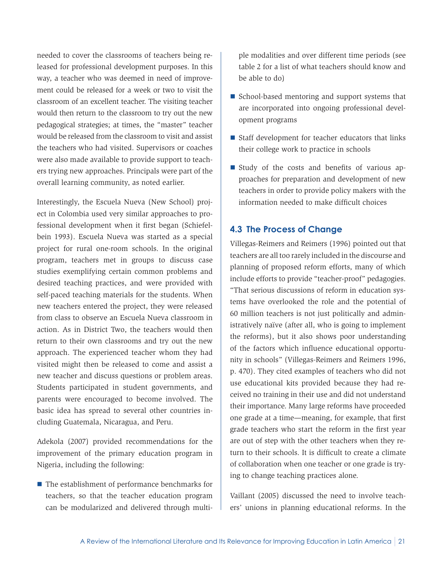<span id="page-24-0"></span>needed to cover the classrooms of teachers being released for professional development purposes. In this way, a teacher who was deemed in need of improvement could be released for a week or two to visit the classroom of an excellent teacher. The visiting teacher would then return to the classroom to try out the new pedagogical strategies; at times, the "master" teacher would be released from the classroom to visit and assist the teachers who had visited. Supervisors or coaches were also made available to provide support to teachers trying new approaches. Principals were part of the overall learning community, as noted earlier.

Interestingly, the Escuela Nueva (New School) project in Colombia used very similar approaches to professional development when it first began (Schiefelbein 1993). Escuela Nueva was started as a special project for rural one-room schools. In the original program, teachers met in groups to discuss case studies exemplifying certain common problems and desired teaching practices, and were provided with self-paced teaching materials for the students. When new teachers entered the project, they were released from class to observe an Escuela Nueva classroom in action. As in District Two, the teachers would then return to their own classrooms and try out the new approach. The experienced teacher whom they had visited might then be released to come and assist a new teacher and discuss questions or problem areas. Students participated in student governments, and parents were encouraged to become involved. The basic idea has spread to several other countries including Guatemala, Nicaragua, and Peru.

Adekola (2007) provided recommendations for the improvement of the primary education program in Nigeria, including the following:

 $\blacksquare$  The establishment of performance benchmarks for teachers, so that the teacher education program can be modularized and delivered through multiple modalities and over different time periods (see table 2 for a list of what teachers should know and be able to do)

- $\blacksquare$  School-based mentoring and support systems that are incorporated into ongoing professional development programs
- $\blacksquare$  Staff development for teacher educators that links their college work to practice in schools
- Study of the costs and benefits of various approaches for preparation and development of new teachers in order to provide policy makers with the information needed to make difficult choices

### **4.3 The Process of Change**

Villegas-Reimers and Reimers (1996) pointed out that teachers are all too rarely included in the discourse and planning of proposed reform efforts, many of which include efforts to provide "teacher-proof" pedagogies. "That serious discussions of reform in education systems have overlooked the role and the potential of 60 million teachers is not just politically and administratively naïve (after all, who is going to implement the reforms), but it also shows poor understanding of the factors which influence educational opportunity in schools" (Villegas-Reimers and Reimers 1996, p. 470). They cited examples of teachers who did not use educational kits provided because they had received no training in their use and did not understand their importance. Many large reforms have proceeded one grade at a time—meaning, for example, that first grade teachers who start the reform in the first year are out of step with the other teachers when they return to their schools. It is difficult to create a climate of collaboration when one teacher or one grade is trying to change teaching practices alone.

Vaillant (2005) discussed the need to involve teachers' unions in planning educational reforms. In the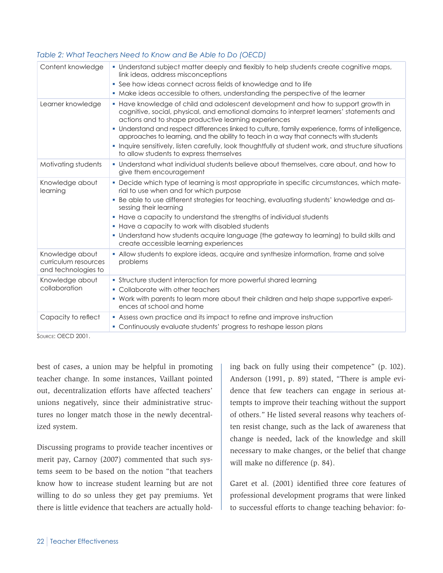#### *Table 2: What Teachers Need to Know and Be Able to Do (OECD)*

| Content knowledge                                              | . Understand subject matter deeply and flexibly to help students create cognitive maps,<br>link ideas, address misconceptions<br>• See how ideas connect across fields of knowledge and to life<br>• Make ideas accessible to others, understanding the perspective of the learner                                                                                                                                                                                                                                                                                                     |
|----------------------------------------------------------------|----------------------------------------------------------------------------------------------------------------------------------------------------------------------------------------------------------------------------------------------------------------------------------------------------------------------------------------------------------------------------------------------------------------------------------------------------------------------------------------------------------------------------------------------------------------------------------------|
| Learner knowledge                                              | • Have knowledge of child and adolescent development and how to support growth in<br>cognitive, social, physical, and emotional domains to interpret learners' statements and<br>actions and to shape productive learning experiences<br>. Understand and respect differences linked to culture, family experience, forms of intelligence,<br>approaches to learning, and the ability to teach in a way that connects with students<br>· Inquire sensitively, listen carefully, look thoughtfully at student work, and structure situations<br>to allow students to express themselves |
| Motivating students                                            | • Understand what individual students believe about themselves, care about, and how to<br>give them encouragement                                                                                                                                                                                                                                                                                                                                                                                                                                                                      |
| Knowledge about<br>learning                                    | . Decide which type of learning is most appropriate in specific circumstances, which mate-<br>rial to use when and for which purpose<br>. Be able to use different strategies for teaching, evaluating students' knowledge and as-<br>sessing their learning<br>• Have a capacity to understand the strengths of individual students<br>• Have a capacity to work with disabled students<br>• Understand how students acquire language (the gateway to learning) to build skills and<br>create accessible learning experiences                                                         |
| Knowledge about<br>curriculum resources<br>and technologies to | . Allow students to explore ideas, acquire and synthesize information, frame and solve<br>problems                                                                                                                                                                                                                                                                                                                                                                                                                                                                                     |
| Knowledge about<br>collaboration                               | • Structure student interaction for more powerful shared learning<br>• Collaborate with other teachers<br>. Work with parents to learn more about their children and help shape supportive experi-<br>ences at school and home                                                                                                                                                                                                                                                                                                                                                         |
|                                                                |                                                                                                                                                                                                                                                                                                                                                                                                                                                                                                                                                                                        |

Source: OECD 2001.

best of cases, a union may be helpful in promoting teacher change. In some instances, Vaillant pointed out, decentralization efforts have affected teachers' unions negatively, since their administrative structures no longer match those in the newly decentralized system.

Discussing programs to provide teacher incentives or merit pay, Carnoy (2007) commented that such systems seem to be based on the notion "that teachers know how to increase student learning but are not willing to do so unless they get pay premiums. Yet there is little evidence that teachers are actually holding back on fully using their competence" (p. 102). Anderson (1991, p. 89) stated, "There is ample evidence that few teachers can engage in serious attempts to improve their teaching without the support of others." He listed several reasons why teachers often resist change, such as the lack of awareness that change is needed, lack of the knowledge and skill necessary to make changes, or the belief that change will make no difference (p. 84).

Garet et al. (2001) identified three core features of professional development programs that were linked to successful efforts to change teaching behavior: fo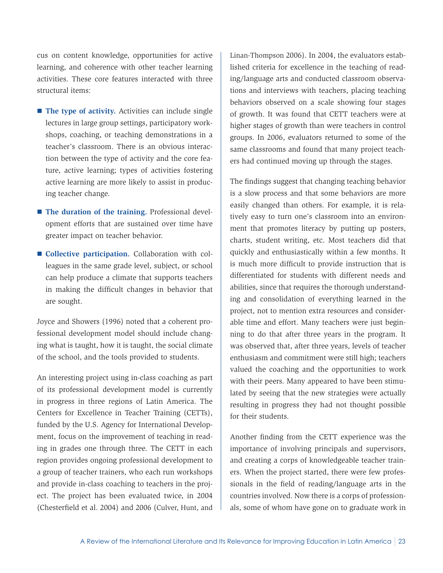cus on content knowledge, opportunities for active learning, and coherence with other teacher learning activities. These core features interacted with three structural items:

- **The type of activity.** Activities can include single lectures in large group settings, participatory workshops, coaching, or teaching demonstrations in a teacher's classroom. There is an obvious interaction between the type of activity and the core feature, active learning; types of activities fostering active learning are more likely to assist in producing teacher change.
- The duration of the training. Professional development efforts that are sustained over time have greater impact on teacher behavior.
- **Collective participation.** Collaboration with colleagues in the same grade level, subject, or school can help produce a climate that supports teachers in making the difficult changes in behavior that are sought.

Joyce and Showers (1996) noted that a coherent professional development model should include changing what is taught, how it is taught, the social climate of the school, and the tools provided to students.

An interesting project using in-class coaching as part of its professional development model is currently in progress in three regions of Latin America. The Centers for Excellence in Teacher Training (CETTs), funded by the U.S. Agency for International Development, focus on the improvement of teaching in reading in grades one through three. The CETT in each region provides ongoing professional development to a group of teacher trainers, who each run workshops and provide in-class coaching to teachers in the project. The project has been evaluated twice, in 2004 (Chesterfield et al. 2004) and 2006 (Culver, Hunt, and

Linan-Thompson 2006). In 2004, the evaluators established criteria for excellence in the teaching of reading/language arts and conducted classroom observations and interviews with teachers, placing teaching behaviors observed on a scale showing four stages of growth. It was found that CETT teachers were at higher stages of growth than were teachers in control groups. In 2006, evaluators returned to some of the same classrooms and found that many project teachers had continued moving up through the stages.

The findings suggest that changing teaching behavior is a slow process and that some behaviors are more easily changed than others. For example, it is relatively easy to turn one's classroom into an environment that promotes literacy by putting up posters, charts, student writing, etc. Most teachers did that quickly and enthusiastically within a few months. It is much more difficult to provide instruction that is differentiated for students with different needs and abilities, since that requires the thorough understanding and consolidation of everything learned in the project, not to mention extra resources and considerable time and effort. Many teachers were just beginning to do that after three years in the program. It was observed that, after three years, levels of teacher enthusiasm and commitment were still high; teachers valued the coaching and the opportunities to work with their peers. Many appeared to have been stimulated by seeing that the new strategies were actually resulting in progress they had not thought possible for their students.

Another finding from the CETT experience was the importance of involving principals and supervisors, and creating a corps of knowledgeable teacher trainers. When the project started, there were few professionals in the field of reading/language arts in the countries involved. Now there is a corps of professionals, some of whom have gone on to graduate work in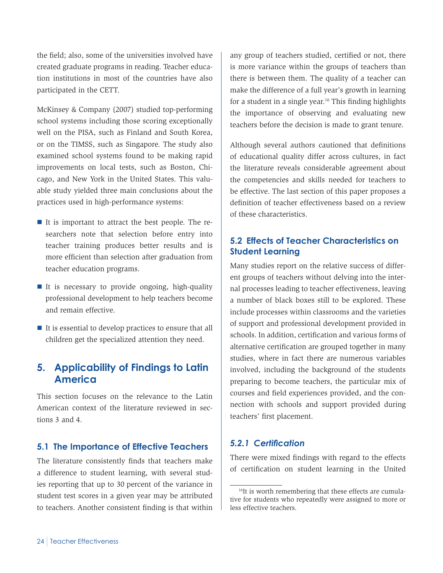<span id="page-27-0"></span>the field; also, some of the universities involved have created graduate programs in reading. Teacher education institutions in most of the countries have also participated in the CETT.

McKinsey & Company (2007) studied top-performing school systems including those scoring exceptionally well on the PISA, such as Finland and South Korea, or on the TIMSS, such as Singapore. The study also examined school systems found to be making rapid improvements on local tests, such as Boston, Chicago, and New York in the United States. This valuable study yielded three main conclusions about the practices used in high-performance systems:

- It is important to attract the best people. The researchers note that selection before entry into teacher training produces better results and is more efficient than selection after graduation from teacher education programs.
- It is necessary to provide ongoing, high-quality professional development to help teachers become and remain effective.
- $\blacksquare$  It is essential to develop practices to ensure that all children get the specialized attention they need.

### **5. Applicability of Findings to Latin America**

This section focuses on the relevance to the Latin American context of the literature reviewed in sections 3 and 4.

### **5.1 The Importance of Effective Teachers**

The literature consistently finds that teachers make a difference to student learning, with several studies reporting that up to 30 percent of the variance in student test scores in a given year may be attributed to teachers. Another consistent finding is that within any group of teachers studied, certified or not, there is more variance within the groups of teachers than there is between them. The quality of a teacher can make the difference of a full year's growth in learning for a student in a single year.<sup>16</sup> This finding highlights the importance of observing and evaluating new teachers before the decision is made to grant tenure.

Although several authors cautioned that definitions of educational quality differ across cultures, in fact the literature reveals considerable agreement about the competencies and skills needed for teachers to be effective. The last section of this paper proposes a definition of teacher effectiveness based on a review of these characteristics.

### **5.2 Effects of Teacher Characteristics on Student Learning**

Many studies report on the relative success of different groups of teachers without delving into the internal processes leading to teacher effectiveness, leaving a number of black boxes still to be explored. These include processes within classrooms and the varieties of support and professional development provided in schools. In addition, certification and various forms of alternative certification are grouped together in many studies, where in fact there are numerous variables involved, including the background of the students preparing to become teachers, the particular mix of courses and field experiences provided, and the connection with schools and support provided during teachers' first placement.

#### *5.2.1 Certification*

There were mixed findings with regard to the effects of certification on student learning in the United

<sup>&</sup>lt;sup>16</sup>It is worth remembering that these effects are cumulative for students who repeatedly were assigned to more or less effective teachers.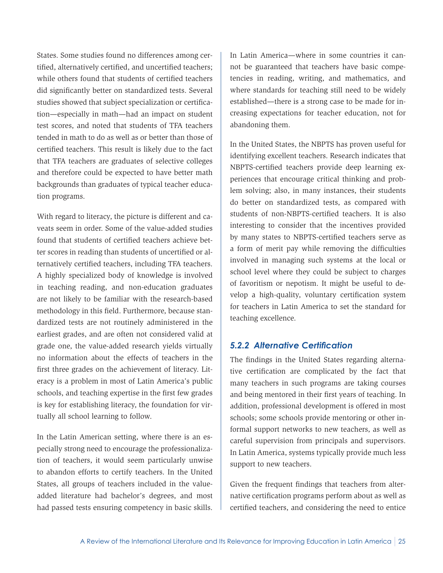States. Some studies found no differences among certified, alternatively certified, and uncertified teachers; while others found that students of certified teachers did significantly better on standardized tests. Several studies showed that subject specialization or certification—especially in math—had an impact on student test scores, and noted that students of TFA teachers tended in math to do as well as or better than those of certified teachers. This result is likely due to the fact that TFA teachers are graduates of selective colleges and therefore could be expected to have better math backgrounds than graduates of typical teacher education programs.

With regard to literacy, the picture is different and caveats seem in order. Some of the value-added studies found that students of certified teachers achieve better scores in reading than students of uncertified or alternatively certified teachers, including TFA teachers. A highly specialized body of knowledge is involved in teaching reading, and non-education graduates are not likely to be familiar with the research-based methodology in this field. Furthermore, because standardized tests are not routinely administered in the earliest grades, and are often not considered valid at grade one, the value-added research yields virtually no information about the effects of teachers in the first three grades on the achievement of literacy. Literacy is a problem in most of Latin America's public schools, and teaching expertise in the first few grades is key for establishing literacy, the foundation for virtually all school learning to follow.

In the Latin American setting, where there is an especially strong need to encourage the professionalization of teachers, it would seem particularly unwise to abandon efforts to certify teachers. In the United States, all groups of teachers included in the valueadded literature had bachelor's degrees, and most had passed tests ensuring competency in basic skills.

In Latin America—where in some countries it cannot be guaranteed that teachers have basic competencies in reading, writing, and mathematics, and where standards for teaching still need to be widely established—there is a strong case to be made for increasing expectations for teacher education, not for abandoning them.

In the United States, the NBPTS has proven useful for identifying excellent teachers. Research indicates that NBPTS-certified teachers provide deep learning experiences that encourage critical thinking and problem solving; also, in many instances, their students do better on standardized tests, as compared with students of non-NBPTS-certified teachers. It is also interesting to consider that the incentives provided by many states to NBPTS-certified teachers serve as a form of merit pay while removing the difficulties involved in managing such systems at the local or school level where they could be subject to charges of favoritism or nepotism. It might be useful to develop a high-quality, voluntary certification system for teachers in Latin America to set the standard for teaching excellence.

#### *5.2.2 Alternative Certification*

The findings in the United States regarding alternative certification are complicated by the fact that many teachers in such programs are taking courses and being mentored in their first years of teaching. In addition, professional development is offered in most schools; some schools provide mentoring or other informal support networks to new teachers, as well as careful supervision from principals and supervisors. In Latin America, systems typically provide much less support to new teachers.

Given the frequent findings that teachers from alternative certification programs perform about as well as certified teachers, and considering the need to entice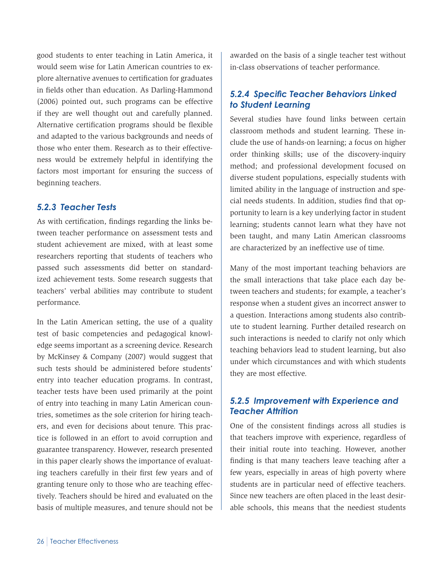good students to enter teaching in Latin America, it would seem wise for Latin American countries to explore alternative avenues to certification for graduates in fields other than education. As Darling-Hammond (2006) pointed out, such programs can be effective if they are well thought out and carefully planned. Alternative certification programs should be flexible and adapted to the various backgrounds and needs of those who enter them. Research as to their effectiveness would be extremely helpful in identifying the factors most important for ensuring the success of beginning teachers.

#### *5.2.3 Teacher Tests*

As with certification, findings regarding the links between teacher performance on assessment tests and student achievement are mixed, with at least some researchers reporting that students of teachers who passed such assessments did better on standardized achievement tests. Some research suggests that teachers' verbal abilities may contribute to student performance.

In the Latin American setting, the use of a quality test of basic competencies and pedagogical knowledge seems important as a screening device. Research by McKinsey & Company (2007) would suggest that such tests should be administered before students' entry into teacher education programs. In contrast, teacher tests have been used primarily at the point of entry into teaching in many Latin American countries, sometimes as the sole criterion for hiring teachers, and even for decisions about tenure. This practice is followed in an effort to avoid corruption and guarantee transparency. However, research presented in this paper clearly shows the importance of evaluating teachers carefully in their first few years and of granting tenure only to those who are teaching effectively. Teachers should be hired and evaluated on the basis of multiple measures, and tenure should not be awarded on the basis of a single teacher test without in-class observations of teacher performance.

### *5.2.4 Specific Teacher Behaviors Linked to Student Learning*

Several studies have found links between certain classroom methods and student learning. These include the use of hands-on learning; a focus on higher order thinking skills; use of the discovery-inquiry method; and professional development focused on diverse student populations, especially students with limited ability in the language of instruction and special needs students. In addition, studies find that opportunity to learn is a key underlying factor in student learning; students cannot learn what they have not been taught, and many Latin American classrooms are characterized by an ineffective use of time.

Many of the most important teaching behaviors are the small interactions that take place each day between teachers and students; for example, a teacher's response when a student gives an incorrect answer to a question. Interactions among students also contribute to student learning. Further detailed research on such interactions is needed to clarify not only which teaching behaviors lead to student learning, but also under which circumstances and with which students they are most effective.

### *5.2.5 Improvement with Experience and Teacher Attrition*

One of the consistent findings across all studies is that teachers improve with experience, regardless of their initial route into teaching. However, another finding is that many teachers leave teaching after a few years, especially in areas of high poverty where students are in particular need of effective teachers. Since new teachers are often placed in the least desirable schools, this means that the neediest students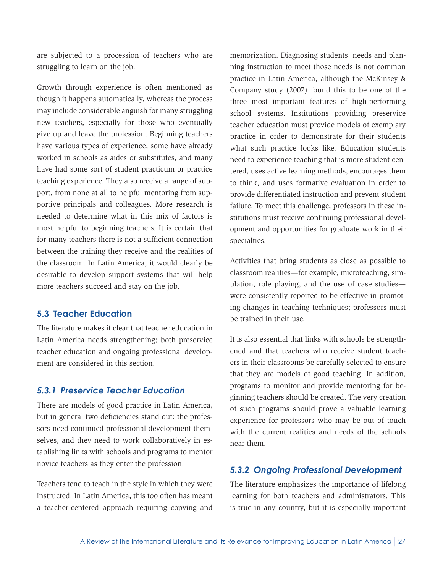<span id="page-30-0"></span>are subjected to a procession of teachers who are struggling to learn on the job.

Growth through experience is often mentioned as though it happens automatically, whereas the process may include considerable anguish for many struggling new teachers, especially for those who eventually give up and leave the profession. Beginning teachers have various types of experience; some have already worked in schools as aides or substitutes, and many have had some sort of student practicum or practice teaching experience. They also receive a range of support, from none at all to helpful mentoring from supportive principals and colleagues. More research is needed to determine what in this mix of factors is most helpful to beginning teachers. It is certain that for many teachers there is not a sufficient connection between the training they receive and the realities of the classroom. In Latin America, it would clearly be desirable to develop support systems that will help more teachers succeed and stay on the job.

#### **5.3 Teacher Education**

The literature makes it clear that teacher education in Latin America needs strengthening; both preservice teacher education and ongoing professional development are considered in this section.

### *5.3.1 Preservice Teacher Education*

There are models of good practice in Latin America, but in general two deficiencies stand out: the professors need continued professional development themselves, and they need to work collaboratively in establishing links with schools and programs to mentor novice teachers as they enter the profession.

Teachers tend to teach in the style in which they were instructed. In Latin America, this too often has meant a teacher-centered approach requiring copying and

memorization. Diagnosing students' needs and planning instruction to meet those needs is not common practice in Latin America, although the McKinsey & Company study (2007) found this to be one of the three most important features of high-performing school systems. Institutions providing preservice teacher education must provide models of exemplary practice in order to demonstrate for their students what such practice looks like. Education students need to experience teaching that is more student centered, uses active learning methods, encourages them to think, and uses formative evaluation in order to provide differentiated instruction and prevent student failure. To meet this challenge, professors in these institutions must receive continuing professional development and opportunities for graduate work in their specialties.

Activities that bring students as close as possible to classroom realities—for example, microteaching, simulation, role playing, and the use of case studies were consistently reported to be effective in promoting changes in teaching techniques; professors must be trained in their use.

It is also essential that links with schools be strengthened and that teachers who receive student teachers in their classrooms be carefully selected to ensure that they are models of good teaching. In addition, programs to monitor and provide mentoring for beginning teachers should be created. The very creation of such programs should prove a valuable learning experience for professors who may be out of touch with the current realities and needs of the schools near them.

#### *5.3.2 Ongoing Professional Development*

The literature emphasizes the importance of lifelong learning for both teachers and administrators. This is true in any country, but it is especially important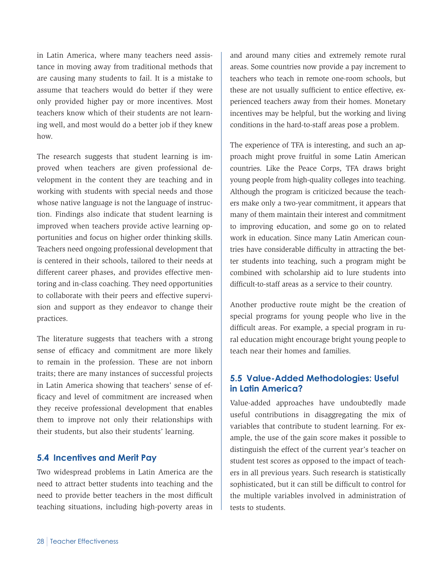<span id="page-31-0"></span>in Latin America, where many teachers need assistance in moving away from traditional methods that are causing many students to fail. It is a mistake to assume that teachers would do better if they were only provided higher pay or more incentives. Most teachers know which of their students are not learning well, and most would do a better job if they knew how.

The research suggests that student learning is improved when teachers are given professional development in the content they are teaching and in working with students with special needs and those whose native language is not the language of instruction. Findings also indicate that student learning is improved when teachers provide active learning opportunities and focus on higher order thinking skills. Teachers need ongoing professional development that is centered in their schools, tailored to their needs at different career phases, and provides effective mentoring and in-class coaching. They need opportunities to collaborate with their peers and effective supervision and support as they endeavor to change their practices.

The literature suggests that teachers with a strong sense of efficacy and commitment are more likely to remain in the profession. These are not inborn traits; there are many instances of successful projects in Latin America showing that teachers' sense of efficacy and level of commitment are increased when they receive professional development that enables them to improve not only their relationships with their students, but also their students' learning.

#### **5.4 Incentives and Merit Pay**

Two widespread problems in Latin America are the need to attract better students into teaching and the need to provide better teachers in the most difficult teaching situations, including high-poverty areas in and around many cities and extremely remote rural areas. Some countries now provide a pay increment to teachers who teach in remote one-room schools, but these are not usually sufficient to entice effective, experienced teachers away from their homes. Monetary incentives may be helpful, but the working and living conditions in the hard-to-staff areas pose a problem.

The experience of TFA is interesting, and such an approach might prove fruitful in some Latin American countries. Like the Peace Corps, TFA draws bright young people from high-quality colleges into teaching. Although the program is criticized because the teachers make only a two-year commitment, it appears that many of them maintain their interest and commitment to improving education, and some go on to related work in education. Since many Latin American countries have considerable difficulty in attracting the better students into teaching, such a program might be combined with scholarship aid to lure students into difficult-to-staff areas as a service to their country.

Another productive route might be the creation of special programs for young people who live in the difficult areas. For example, a special program in rural education might encourage bright young people to teach near their homes and families.

### **5.5 Value-Added Methodologies: Useful in Latin America?**

Value-added approaches have undoubtedly made useful contributions in disaggregating the mix of variables that contribute to student learning. For example, the use of the gain score makes it possible to distinguish the effect of the current year's teacher on student test scores as opposed to the impact of teachers in all previous years. Such research is statistically sophisticated, but it can still be difficult to control for the multiple variables involved in administration of tests to students.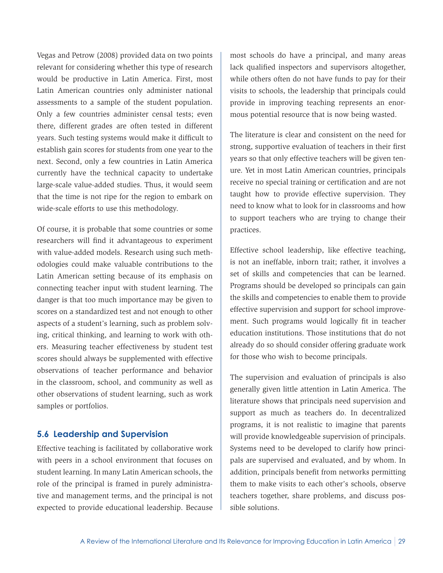<span id="page-32-0"></span>Vegas and Petrow (2008) provided data on two points relevant for considering whether this type of research would be productive in Latin America. First, most Latin American countries only administer national assessments to a sample of the student population. Only a few countries administer censal tests; even there, different grades are often tested in different years. Such testing systems would make it difficult to establish gain scores for students from one year to the next. Second, only a few countries in Latin America currently have the technical capacity to undertake large-scale value-added studies. Thus, it would seem that the time is not ripe for the region to embark on wide-scale efforts to use this methodology.

Of course, it is probable that some countries or some researchers will find it advantageous to experiment with value-added models. Research using such methodologies could make valuable contributions to the Latin American setting because of its emphasis on connecting teacher input with student learning. The danger is that too much importance may be given to scores on a standardized test and not enough to other aspects of a student's learning, such as problem solving, critical thinking, and learning to work with others. Measuring teacher effectiveness by student test scores should always be supplemented with effective observations of teacher performance and behavior in the classroom, school, and community as well as other observations of student learning, such as work samples or portfolios.

#### **5.6 Leadership and Supervision**

Effective teaching is facilitated by collaborative work with peers in a school environment that focuses on student learning. In many Latin American schools, the role of the principal is framed in purely administrative and management terms, and the principal is not expected to provide educational leadership. Because

most schools do have a principal, and many areas lack qualified inspectors and supervisors altogether, while others often do not have funds to pay for their visits to schools, the leadership that principals could provide in improving teaching represents an enormous potential resource that is now being wasted.

The literature is clear and consistent on the need for strong, supportive evaluation of teachers in their first years so that only effective teachers will be given tenure. Yet in most Latin American countries, principals receive no special training or certification and are not taught how to provide effective supervision. They need to know what to look for in classrooms and how to support teachers who are trying to change their practices.

Effective school leadership, like effective teaching, is not an ineffable, inborn trait; rather, it involves a set of skills and competencies that can be learned. Programs should be developed so principals can gain the skills and competencies to enable them to provide effective supervision and support for school improvement. Such programs would logically fit in teacher education institutions. Those institutions that do not already do so should consider offering graduate work for those who wish to become principals.

The supervision and evaluation of principals is also generally given little attention in Latin America. The literature shows that principals need supervision and support as much as teachers do. In decentralized programs, it is not realistic to imagine that parents will provide knowledgeable supervision of principals. Systems need to be developed to clarify how principals are supervised and evaluated, and by whom. In addition, principals benefit from networks permitting them to make visits to each other's schools, observe teachers together, share problems, and discuss possible solutions.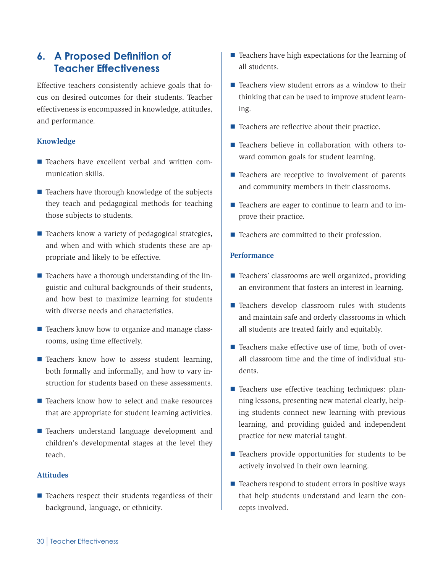### <span id="page-33-0"></span>**6. A Proposed Definition of Teacher Effectiveness**

Effective teachers consistently achieve goals that focus on desired outcomes for their students. Teacher effectiveness is encompassed in knowledge, attitudes, and performance.

#### **Knowledge**

- Teachers have excellent verbal and written communication skills.
- $\blacksquare$  Teachers have thorough knowledge of the subjects they teach and pedagogical methods for teaching those subjects to students.
- Teachers know a variety of pedagogical strategies, and when and with which students these are appropriate and likely to be effective.
- $\blacksquare$  Teachers have a thorough understanding of the linguistic and cultural backgrounds of their students, and how best to maximize learning for students with diverse needs and characteristics.
- Teachers know how to organize and manage classrooms, using time effectively.
- **Teachers know how to assess student learning,** both formally and informally, and how to vary instruction for students based on these assessments.
- Teachers know how to select and make resources that are appropriate for student learning activities.
- Teachers understand language development and children's developmental stages at the level they teach.

#### **Attitudes**

 $\blacksquare$  Teachers respect their students regardless of their background, language, or ethnicity.

- $\blacksquare$  Teachers have high expectations for the learning of all students.
- $\blacksquare$  Teachers view student errors as a window to their thinking that can be used to improve student learning.
- $\blacksquare$  Teachers are reflective about their practice.
- Teachers believe in collaboration with others toward common goals for student learning.
- $\blacksquare$  Teachers are receptive to involvement of parents and community members in their classrooms.
- Teachers are eager to continue to learn and to improve their practice.
- Teachers are committed to their profession.

#### **Performance**

- Teachers' classrooms are well organized, providing an environment that fosters an interest in learning.
- Teachers develop classroom rules with students and maintain safe and orderly classrooms in which all students are treated fairly and equitably.
- Teachers make effective use of time, both of overall classroom time and the time of individual students.
- $\blacksquare$  Teachers use effective teaching techniques: planning lessons, presenting new material clearly, helping students connect new learning with previous learning, and providing guided and independent practice for new material taught.
- $\blacksquare$  Teachers provide opportunities for students to be actively involved in their own learning.
- $\blacksquare$  Teachers respond to student errors in positive ways that help students understand and learn the concepts involved.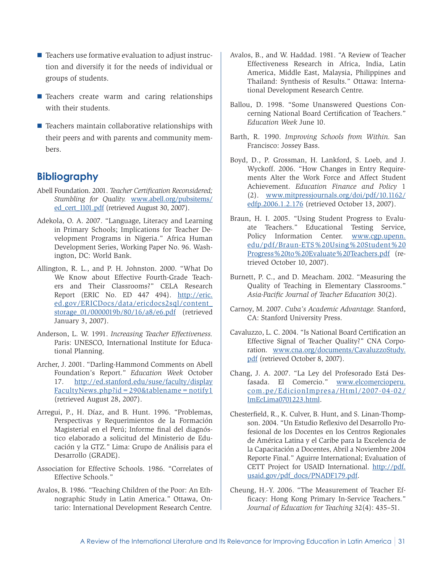- <span id="page-34-0"></span> $\blacksquare$  Teachers use formative evaluation to adjust instruction and diversify it for the needs of individual or groups of students.
- **Teachers create warm and caring relationships** with their students.
- $\blacksquare$  Teachers maintain collaborative relationships with their peers and with parents and community members.

### **Bibliography**

- Abell Foundation. 2001. *Teacher Certification Reconsidered; Stumbling for Quality.* [www.abell.org/pubsitems/](www.abell.org/pubsitems/ed_cert_1101.pdf) [ed\\_cert\\_1101.pdf](www.abell.org/pubsitems/ed_cert_1101.pdf) (retrieved August 30, 2007).
- Adekola, O. A. 2007. "Language, Literacy and Learning in Primary Schools; Implications for Teacher Development Programs in Nigeria." Africa Human Development Series, Working Paper No. 96. Washington, DC: World Bank.
- Allington, R. L., and P. H. Johnston. 2000. "What Do We Know about Effective Fourth-Grade Teachers and Their Classrooms?" CELA Research Report (ERIC No. ED 447 494). [http://eric.](http://eric.ed.gov/ERICDocs/data/ericdocs2sql/content_storage_01/0000019b/80/16/a8/e6.pdf) [ed.gov/ERICDocs/data/ericdocs2sql/content\\_](http://eric.ed.gov/ERICDocs/data/ericdocs2sql/content_storage_01/0000019b/80/16/a8/e6.pdf) [storage\\_01/0000019b/80/16/a8/e6.pdf](http://eric.ed.gov/ERICDocs/data/ericdocs2sql/content_storage_01/0000019b/80/16/a8/e6.pdf) (retrieved January 3, 2007).
- Anderson, L. W. 1991. *Increasing Teacher Effectiveness.*  Paris: UNESCO, International Institute for Educational Planning.
- Archer, J. 2001. "Darling-Hammond Comments on Abell Foundation's Report." *Education Week* October 17. [http://ed.stanford.edu/suse/faculty/display](http://ed.stanford.edu/suse/faculty/displayFacultyNews.php?id=290&tablename=notify1) [FacultyNews.php?id=290&tablename=notify1](http://ed.stanford.edu/suse/faculty/displayFacultyNews.php?id=290&tablename=notify1) (retrieved August 28, 2007).
- Arregui, P., H. Díaz, and B. Hunt. 1996. "Problemas, Perspectivas y Requerimientos de la Formación Magisterial en el Perú; Informe final del diagnóstico elaborado a solicitud del Ministerio de Educación y la GTZ." Lima: Grupo de Análisis para el Desarrollo (GRADE).
- Association for Effective Schools. 1986. "Correlates of Effective Schools."
- Avalos, B. 1986. "Teaching Children of the Poor: An Ethnographic Study in Latin America." Ottawa, Ontario: International Development Research Centre.
- Avalos, B., and W. Haddad. 1981. "A Review of Teacher Effectiveness Research in Africa, India, Latin America, Middle East, Malaysia, Philippines and Thailand: Synthesis of Results." Ottawa: International Development Research Centre.
- Ballou, D. 1998. "Some Unanswered Questions Concerning National Board Certification of Teachers." *Education Week* June 10.
- Barth, R. 1990. *Improving Schools from Within.* San Francisco: Jossey Bass.
- Boyd, D., P. Grossman, H. Lankford, S. Loeb, and J. Wyckoff. 2006. "How Changes in Entry Requirements Alter the Work Force and Affect Student Achievement. *Education Finance and Policy* 1 (2). [www.mitpressjournals.org/doi/pdf/10.1162/](www.mitpressjournals.org/doi/pdf/10.1162/edfp.2006.1.2.176) [edfp.2006.1.2.176](www.mitpressjournals.org/doi/pdf/10.1162/edfp.2006.1.2.176) (retrieved October 13, 2007).
- Braun, H. I. 2005. "Using Student Progress to Evaluate Teachers." Educational Testing Service, Policy Information Center. [www.cgp.upenn.](www.cgp.upenn.edu/pdf/Braun-ETS%20Using%20Student%20Progress%20to%20Evaluate%20Teachers.pdf) [edu/pdf/Braun-ETS%20Using%20Student%20](www.cgp.upenn.edu/pdf/Braun-ETS%20Using%20Student%20Progress%20to%20Evaluate%20Teachers.pdf) [Progress%20to%20Evaluate%20Teachers.pdf](www.cgp.upenn.edu/pdf/Braun-ETS%20Using%20Student%20Progress%20to%20Evaluate%20Teachers.pdf) (retrieved October 10, 2007).
- Burnett, P. C., and D. Meacham. 2002. "Measuring the Quality of Teaching in Elementary Classrooms." *Asia-Pacific Journal of Teacher Education* 30(2).
- Carnoy, M. 2007. *Cuba's Academic Advantage.* Stanford, CA: Stanford University Press.
- Cavaluzzo, L. C. 2004. "Is National Board Certification an Effective Signal of Teacher Quality?" CNA Corporation. [www.cna.org/documents/CavaluzzoStudy.](www.cna.org/documents/CavaluzzoStudy.pdf) [pdf](www.cna.org/documents/CavaluzzoStudy.pdf) (retrieved October 8, 2007).
- Chang, J. A. 2007. "La Ley del Profesorado Está Desfasada. El Comercio." [www.elcomercioperu.](www.elcomercioperu.com.pe/EdicionImpresa/Html/2007-04-02/ ImEcLima0701223.html) [com.pe/EdicionImpresa/Html/2007-04-02/](www.elcomercioperu.com.pe/EdicionImpresa/Html/2007-04-02/ ImEcLima0701223.html) [ImEcLima0701223.html](www.elcomercioperu.com.pe/EdicionImpresa/Html/2007-04-02/ ImEcLima0701223.html).
- Chesterfield, R., K. Culver, B. Hunt, and S. Linan-Thompson. 2004. "Un Estudio Reflexivo del Desarrollo Profesional de los Docentes en los Centros Regionales de América Latina y el Caribe para la Excelencia de la Capacitación a Docentes, Abril a Noviembre 2004 Reporte Final." Aguirre International; Evaluation of CETT Project for USAID International. [http://pdf.](http://pdf.usaid.gov/pdf_docs/PNADF179.pdf) [usaid.gov/pdf\\_docs/PNADF179.pdf](http://pdf.usaid.gov/pdf_docs/PNADF179.pdf).
- Cheung, H.-Y. 2006. "The Measurement of Teacher Efficacy: Hong Kong Primary In-Service Teachers." *Journal of Education for Teaching* 32(4): 435–51.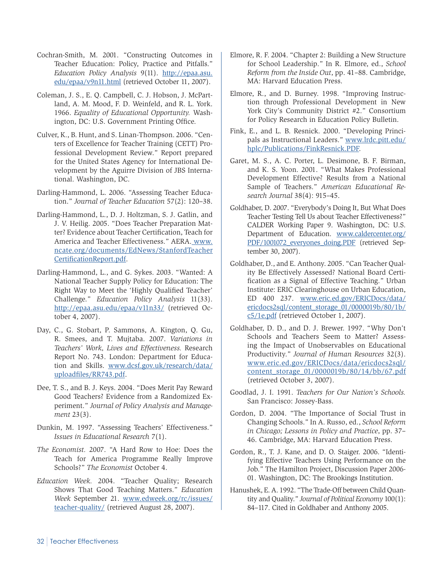- Cochran-Smith, M. 2001. "Constructing Outcomes in Teacher Education: Policy, Practice and Pitfalls." *Education Policy Analysis* 9(11). [http://epaa.asu.](http://epaa.asu.edu/epaa/v9n11.html) [edu/epaa/v9n11.html](http://epaa.asu.edu/epaa/v9n11.html) (retrieved October 11, 2007).
- Coleman, J. S., E. Q. Campbell, C. J. Hobson, J. McPartland, A. M. Mood, F. D. Weinfeld, and R. L. York. 1966. *Equality of Educational Opportunity.* Washington, DC: U.S. Government Printing Office.
- Culver, K., B. Hunt, and S. Linan-Thompson. 2006. "Centers of Excellence for Teacher Training (CETT) Professional Development Review." Report prepared for the United States Agency for International Development by the Aguirre Division of JBS International. Washington, DC.
- Darling-Hammond, L. 2006. "Assessing Teacher Education." *Journal of Teacher Education* 57(2): 120–38.
- Darling-Hammond, L., D. J. Holtzman, S. J. Gatlin, and J. V. Heilig. 2005. "Does Teacher Preparation Matter? Evidence about Teacher Certification, Teach for America and Teacher Effectiveness." AERA. [www.](www.ncate.org/documents/EdNews/StanfordTeacherCertificationReport.pdf) [ncate.org/documents/EdNews/StanfordTeacher](www.ncate.org/documents/EdNews/StanfordTeacherCertificationReport.pdf) [CertificationReport.pdf.](www.ncate.org/documents/EdNews/StanfordTeacherCertificationReport.pdf)
- Darling-Hammond, L., and G. Sykes. 2003. "Wanted: A National Teacher Supply Policy for Education: The Right Way to Meet the 'Highly Qualified Teacher' Challenge." *Education Policy Analysis* 11(33). <http://epaa.asu.edu/epaa/v11n33/> (retrieved October 4, 2007).
- Day, C., G. Stobart, P. Sammons, A. Kington, Q. Gu, R. Smees, and T. Mujtaba. 2007. *Variations in Teachers' Work, Lives and Effectiveness.* Research Report No. 743. London: Department for Education and Skills. [www.dcsf.gov.uk/research/data/](www.dcsf.gov.uk/research/data/uploadfiles/RR743.pdf) [uploadfiles/RR743.pdf.](www.dcsf.gov.uk/research/data/uploadfiles/RR743.pdf)
- Dee, T. S., and B. J. Keys. 2004. "Does Merit Pay Reward Good Teachers? Evidence from a Randomized Experiment." *Journal of Policy Analysis and Management* 23(3).
- Dunkin, M. 1997. "Assessing Teachers' Effectiveness." *Issues in Educational Research* 7(1).
- *The Economist.* 2007. "A Hard Row to Hoe: Does the Teach for America Programme Really Improve Schools?" *The Economist* October 4.
- *Education Week.* 2004. "Teacher Quality; Research Shows That Good Teaching Matters." *Education Week* September 21. [www.edweek.org/rc/issues/](www.edweek.org/rc/issues/teacher-quality/) [teacher-quality/](www.edweek.org/rc/issues/teacher-quality/) (retrieved August 28, 2007).
- Elmore, R. F. 2004. "Chapter 2: Building a New Structure for School Leadership." In R. Elmore, ed., *School Reform from the Inside Out*, pp. 41–88. Cambridge, MA: Harvard Education Press.
- Elmore, R., and D. Burney. 1998. "Improving Instruction through Professional Development in New York City's Community District #2." Consortium for Policy Research in Education Policy Bulletin.
- Fink, E., and L. B. Resnick. 2000. "Developing Principals as Instructional Leaders." [www.lrdc.pitt.edu/](www.lrdc.pitt.edu/hplc/Publications/FinkResnick.PDF) [hplc/Publications/FinkResnick.PDF](www.lrdc.pitt.edu/hplc/Publications/FinkResnick.PDF).
- Garet, M. S., A. C. Porter, L. Desimone, B. F. Birman, and K. S. Yoon. 2001. "What Makes Professional Development Effective? Results from a National Sample of Teachers." *American Educational Research Journal* 38(4): 915–45.
- Goldhaber, D. 2007. "Everybody's Doing It, But What Does Teacher Testing Tell Us about Teacher Effectiveness?" CALDER Working Paper 9. Washington, DC: U.S. Department of Education. [www.caldercenter.org/](www.caldercenter.org/PDF/1001072_everyones_doing.PDF) [PDF/1001072\\_everyones\\_doing.PDF](www.caldercenter.org/PDF/1001072_everyones_doing.PDF) (retrieved September 30, 2007).
- Goldhaber, D., and E. Anthony. 2005. "Can Teacher Quality Be Effectively Assessed? National Board Certification as a Signal of Effective Teaching." Urban Institute: ERIC Clearinghouse on Urban Education, ED 400 237. [www.eric.ed.gov/ERICDocs/data/](www.eric.ed.gov/ERICDocs/data/ericdocs2sql/content_storage_01/0000019b/80/1b/c5/1e.pdf) [ericdocs2sql/content\\_storage\\_01/0000019b/80/1b/](www.eric.ed.gov/ERICDocs/data/ericdocs2sql/content_storage_01/0000019b/80/1b/c5/1e.pdf) [c5/1e.pdf](www.eric.ed.gov/ERICDocs/data/ericdocs2sql/content_storage_01/0000019b/80/1b/c5/1e.pdf) (retrieved October 1, 2007).
- Goldhaber, D. D., and D. J. Brewer. 1997. "Why Don't Schools and Teachers Seem to Matter? Assessing the Impact of Unobservables on Educational Productivity." *Journal of Human Resources* 32(3). [www.eric.ed.gov/ERICDocs/data/ericdocs2sql/](www.eric.ed.gov/ERICDocs/data/ericdocs2sql/content_storage_01/0000019b/80/14/bb/67.pdf ) [content\\_storage\\_01/0000019b/80/14/bb/67.pdf](www.eric.ed.gov/ERICDocs/data/ericdocs2sql/content_storage_01/0000019b/80/14/bb/67.pdf ) (retrieved October 3, 2007).
- Goodlad, J. I. 1991. *Teachers for Our Nation's Schools.* San Francisco: Jossey-Bass.
- Gordon, D. 2004. "The Importance of Social Trust in Changing Schools." In A. Russo, ed., *School Reform in Chicago; Lessons in Policy and Practice*, pp. 37– 46. Cambridge, MA: Harvard Education Press.
- Gordon, R., T. J. Kane, and D. O. Staiger. 2006. "Identifying Effective Teachers Using Performance on the Job." The Hamilton Project, Discussion Paper 2006- 01. Washington, DC: The Brookings Institution.
- Hanushek, E. A. 1992. "The Trade-Off between Child Quantity and Quality." *Journal of Political Economy* 100(1): 84–117. Cited in Goldhaber and Anthony 2005.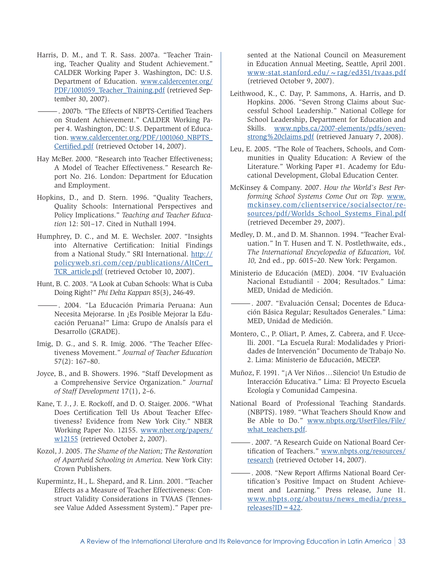- Harris, D. M., and T. R. Sass. 2007a. "Teacher Training, Teacher Quality and Student Achievement." CALDER Working Paper 3. Washington, DC: U.S. Department of Education. [www.caldercenter.org/](www.caldercenter.org/PDF/1001059_Teacher_Training.pdf) [PDF/1001059\\_Teacher\\_Training.pdf](www.caldercenter.org/PDF/1001059_Teacher_Training.pdf) (retrieved September 30, 2007).
- —. 2007b. "The Effects of NBPTS-Certified Teachers on Student Achievement." CALDER Working Paper 4. Washington, DC: U.S. Department of Education. [www.caldercenter.org/PDF/1001060\\_NBPTS\\_](www.caldercenter.org/PDF/1001060_NBPTS_Certified.pdf) [Certified.pdf](www.caldercenter.org/PDF/1001060_NBPTS_Certified.pdf) (retrieved October 14, 2007).
- Hay McBer. 2000. "Research into Teacher Effectiveness; A Model of Teacher Effectiveness." Research Report No. 216. London: Department for Education and Employment.
- Hopkins, D., and D. Stern. 1996. "Quality Teachers, Quality Schools: International Perspectives and Policy Implications." *Teaching and Teacher Education* 12: 501–17. Cited in Nuthall 1994.
- Humphrey, D. C., and M. E. Wechsler. 2007. "Insights into Alternative Certification: Initial Findings from a National Study." SRI International. [http://](http://policyweb.sri.com/cep/publications/AltCert_TCR_article.pdf) [policyweb.sri.com/cep/publications/AltCert\\_](http://policyweb.sri.com/cep/publications/AltCert_TCR_article.pdf) [TCR\\_article.pdf](http://policyweb.sri.com/cep/publications/AltCert_TCR_article.pdf) (retrieved October 10, 2007).
- Hunt, B. C. 2003. "A Look at Cuban Schools: What is Cuba Doing Right?" *Phi Delta Kappan* 85(3), 246-49.
	- —. 2004. "La Educación Primaria Peruana: Aun Necesita Mejorarse. In ¿Es Posible Mejorar la Educación Peruana?" Lima: Grupo de Analsís para el Desarrollo (GRADE).
- Imig, D. G., and S. R. Imig. 2006. "The Teacher Effectiveness Movement." *Journal of Teacher Education* 57(2): 167–80.
- Joyce, B., and B. Showers. 1996. "Staff Development as a Comprehensive Service Organization." *Journal of Staff Development* 17(1), 2–6.
- Kane, T. J., J. E. Rockoff, and D. O. Staiger. 2006. "What Does Certification Tell Us About Teacher Effectiveness? Evidence from New York City." NBER Working Paper No. 12155. [www.nber.org/papers/](www.nber.org/papers/w12155) [w12155](www.nber.org/papers/w12155) (retrieved October 2, 2007).
- Kozol, J. 2005. *The Shame of the Nation; The Restoration of Apartheid Schooling in America.* New York City: Crown Publishers.
- Kupermintz, H., L. Shepard, and R. Linn. 2001. "Teacher Effects as a Measure of Teacher Effectiveness: Construct Validity Considerations in TVAAS (Tennessee Value Added Assessment System)." Paper pre-

sented at the National Council on Measurement in Education Annual Meeting, Seattle, April 2001. www-stat.stanford.edu/ ~ rag/ed351/tvaas.pdf (retrieved October 9, 2007).

- Leithwood, K., C. Day, P. Sammons, A. Harris, and D. Hopkins. 2006. "Seven Strong Claims about Successful School Leadership." National College for School Leadership, Department for Education and Skills. [www.npbs.ca/2007-elements/pdfs/seven](www.npbs.ca/2007-elements/pdfs/seven-strong%20claims.pdf)[strong%20claims.pdf](www.npbs.ca/2007-elements/pdfs/seven-strong%20claims.pdf) (retrieved January 7, 2008).
- Leu, E. 2005. "The Role of Teachers, Schools, and Communities in Quality Education: A Review of the Literature." Working Paper #1. Academy for Educational Development, Global Education Center.
- McKinsey & Company. 2007. *How the World's Best Performing School Systems Come Out on Top.* [www.](www.mckinsey.com/clientservice/socialsector/resources/pdf/Worlds_School_Systems_Final.pdf ) [mckinsey.com/clientservice/socialsector/re](www.mckinsey.com/clientservice/socialsector/resources/pdf/Worlds_School_Systems_Final.pdf )[sources/pdf/Worlds\\_School\\_Systems\\_Final.pdf](www.mckinsey.com/clientservice/socialsector/resources/pdf/Worlds_School_Systems_Final.pdf ) (retrieved December 29, 2007).
- Medley, D. M., and D. M. Shannon. 1994. "Teacher Evaluation." In T. Husen and T. N. Postlethwaite, eds., *The International Encyclopedia of Education, Vol. 10,* 2nd ed., pp. 6015–20. New York: Pergamon.
- Ministerio de Educación (MED). 2004. "IV Evaluación Nacional Estudiantil - 2004; Resultados." Lima: MED, Unidad de Medición.
- —. 2007. "Evaluación Censal; Docentes de Educación Básica Regular; Resultados Generales." Lima: MED, Unidad de Medición.
- Montero, C., P. Oliart, P. Ames, Z. Cabrera, and F. Uccelli. 2001. "La Escuela Rural: Modalidades y Prioridades de Intervención" Documento de Trabajo No. 2. Lima: Ministerio de Educación, MECEP.
- Muñoz, F. 1991. "¡A Ver Niños … Silencio! Un Estudio de Interacción Educativa." Lima: El Proyecto Escuela Ecología y Comunidad Campesina.
- National Board of Professional Teaching Standards. (NBPTS). 1989. "What Teachers Should Know and Be Able to Do." [www.nbpts.org/UserFiles/File/](www.nbpts.org/UserFiles/File/what_teachers.pdf) [what\\_teachers.pdf.](www.nbpts.org/UserFiles/File/what_teachers.pdf)
- —. 2007. "A Research Guide on National Board Certification of Teachers." [www.nbpts.org/resources/](www.nbpts.org/resources/research) [research](www.nbpts.org/resources/research) (retrieved October 14, 2007).
- —. 2008. "New Report Affirms National Board Certification's Positive Impact on Student Achievement and Learning." Press release, June 11. [www.nbpts.org/aboutus/news\\_media/press\\_](www.nbpts.org/aboutus/news_media/press_releases?ID=422) releases?ID =  $422$ .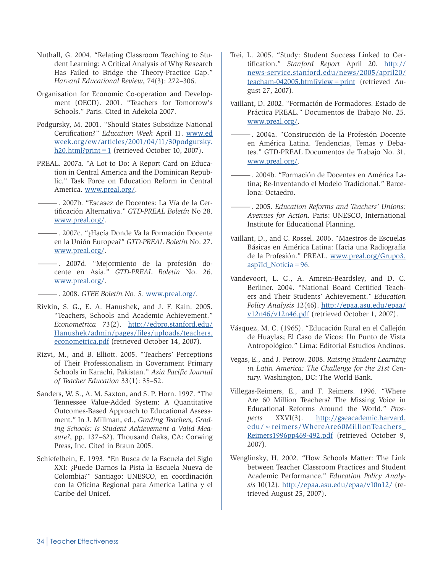- Nuthall, G. 2004. "Relating Classroom Teaching to Student Learning: A Critical Analysis of Why Research Has Failed to Bridge the Theory-Practice Gap." *Harvard Educational Review*, 74(3): 272–306.
- Organisation for Economic Co-operation and Development (OECD). 2001. "Teachers for Tomorrow's Schools." Paris. Cited in Adekola 2007.
- Podgursky, M. 2001. "Should States Subsidize National Certification?" *Education Week* April 11. [www.ed](www.edweek.org/ew/articles/2001/04/11/30podgursky.h20.html?print=1) [week.org/ew/articles/2001/04/11/30podgursky.](www.edweek.org/ew/articles/2001/04/11/30podgursky.h20.html?print=1) [h20.html?print=1](www.edweek.org/ew/articles/2001/04/11/30podgursky.h20.html?print=1) (retrieved October 10, 2007).
- PREAL. 2007a. "A Lot to Do: A Report Card on Education in Central America and the Dominican Republic." Task Force on Education Reform in Central America.<www.preal.org/>.
	- —. 2007b. "Escasez de Docentes: La Vía de la Certificación Alternativa." *GTD-PREAL Boletín* No 28. <www.preal.org/>.
- —. 2007c. "¿Hacía Donde Va la Formación Docente en la Unión Europea?" *GTD-PREAL Boletín* No. 27. <www.preal.org/>.
- —. 2007d. "Mejormiento de la profesión docente en Asia." *GTD-PREAL Boletín* No. 26. <www.preal.org/>.
	- —. 2008. *GTEE Boletín No. 5.* [www.preal.org/.](www.preal.org/)
- Rivkin, S. G., E. A. Hanushek, and J. F. Kain. 2005. "Teachers, Schools and Academic Achievement." *Econometrica* 73(2). [http://edpro.stanford.edu/](http://edpro.stanford.edu/Hanushek/admin/pages/files/uploads/teachers.econometrica.pdf) [Hanushek/admin/pages/files/uploads/teachers.](http://edpro.stanford.edu/Hanushek/admin/pages/files/uploads/teachers.econometrica.pdf) [econometrica.pdf](http://edpro.stanford.edu/Hanushek/admin/pages/files/uploads/teachers.econometrica.pdf) (retrieved October 14, 2007).
- Rizvi, M., and B. Elliott. 2005. "Teachers' Perceptions of Their Professionalism in Government Primary Schools in Karachi, Pakistan." *Asia Pacific Journal of Teacher Education* 33(1): 35–52.
- Sanders, W. S., A. M. Saxton, and S. P. Horn. 1997. "The Tennessee Value-Added System: A Quantitative Outcomes-Based Approach to Educational Assessment." In J. Millman, ed., *Grading Teachers, Grading Schools: Is Student Achievement a Valid Measure?*, pp. 137–62). Thousand Oaks, CA: Corwing Press, Inc. Cited in Braun 2005.
- Schiefelbein, E. 1993. "En Busca de la Escuela del Siglo XXI: ¿Puede Darnos la Pista la Escuela Nueva de Colombia?" Santiago: UNESCO, en coordinación con la Oficina Regional para America Latina y el Caribe del Unicef.
- Trei, L. 2005. "Study: Student Success Linked to Certification." *Stanford Report* April 20. [http://](http://news-service.stanford.edu/news/2005/april20/
teacham-042005.html?view=print) [news-service.stanford.edu/news/2005/april20/](http://news-service.stanford.edu/news/2005/april20/
teacham-042005.html?view=print) [teacham-042005.html?view=print](http://news-service.stanford.edu/news/2005/april20/
teacham-042005.html?view=print) (retrieved August 27, 2007).
- Vaillant, D. 2002. "Formación de Formadores. Estado de Práctica PREAL." Documentos de Trabajo No. 25. <www.preal.org/>.
	- —. 2004a. "Construcción de la Profesión Docente en América Latina. Tendencias, Temas y Debates." GTD-PREAL Documentos de Trabajo No. 31. <www.preal.org/>.
- —. 2004b. "Formación de Docentes en América Latina; Re-Inventando el Modelo Tradicional." Barcelona: Octaedro.
- —. 2005. *Education Reforms and Teachers' Unions: Avenues for Action.* Paris: UNESCO, International Institute for Educational Planning.
- Vaillant, D., and C. Rossel. 2006. "Maestros de Escuelas Básicas en América Latina: Hacia una Radiografía de la Profesión." PREAL. [www.preal.org/Grupo3.](www.preal.org/Grupo3.asp?Id_Noticia=96) asp?Id Noticia =  $96$ .
- Vandevoort, L. G., A. Amrein-Beardsley, and D. C. Berliner. 2004. "National Board Certified Teachers and Their Students' Achievement." *Education Policy Analysis* 12(46). [http://epaa.asu.edu/epaa/](http://epaa.asu.edu/epaa/v12n46/v12n46.pdf) [v12n46/v12n46.pdf](http://epaa.asu.edu/epaa/v12n46/v12n46.pdf) (retrieved October 1, 2007).
- Vásquez, M. C. (1965). "Educación Rural en el Callejón de Huaylas; El Caso de Vicos: Un Punto de Vista Antropológico." Lima: Editorial Estudios Andinos.
- Vegas, E., and J. Petrow. 2008. *Raising Student Learning in Latin America: The Challenge for the 21st Century.* Washington, DC: The World Bank.
- Villegas-Reimers, E., and F. Reimers. 1996. "Where Are 60 Million Teachers? The Missing Voice in Educational Reforms Around the World." *Prospects* XXVI(3). [http://gseacademic.harvard.](http://gseacademic.harvard.edu/~reimers/WhereAre60MillionTeachers_
Reimers1996pp469-492.pdf) [edu/~reimers/WhereAre60MillionTeachers\\_](http://gseacademic.harvard.edu/~reimers/WhereAre60MillionTeachers_
Reimers1996pp469-492.pdf) [Reimers1996pp469-492.pdf](http://gseacademic.harvard.edu/~reimers/WhereAre60MillionTeachers_
Reimers1996pp469-492.pdf) (retrieved October 9, 2007).
- Wenglinsky, H. 2002. "How Schools Matter: The Link between Teacher Classroom Practices and Student Academic Performance." *Education Policy Analysis* 10(12). <http://epaa.asu.edu/epaa/v10n12/>(retrieved August 25, 2007).